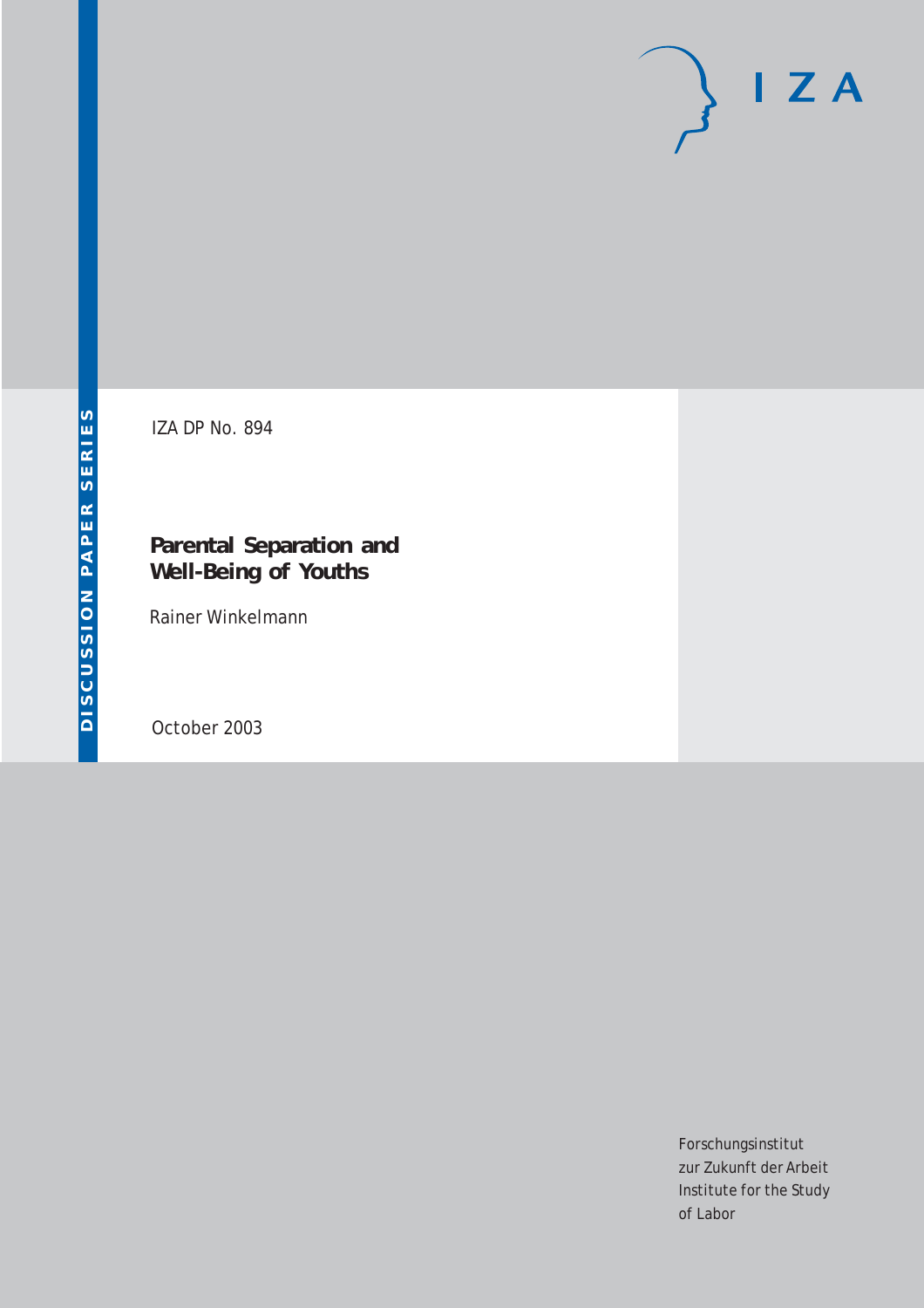# $I Z A$

IZA DP No. 894

## **Parental Separation and Well-Being of Youths**

Rainer Winkelmann

October 2003

Forschungsinstitut zur Zukunft der Arbeit Institute for the Study of Labor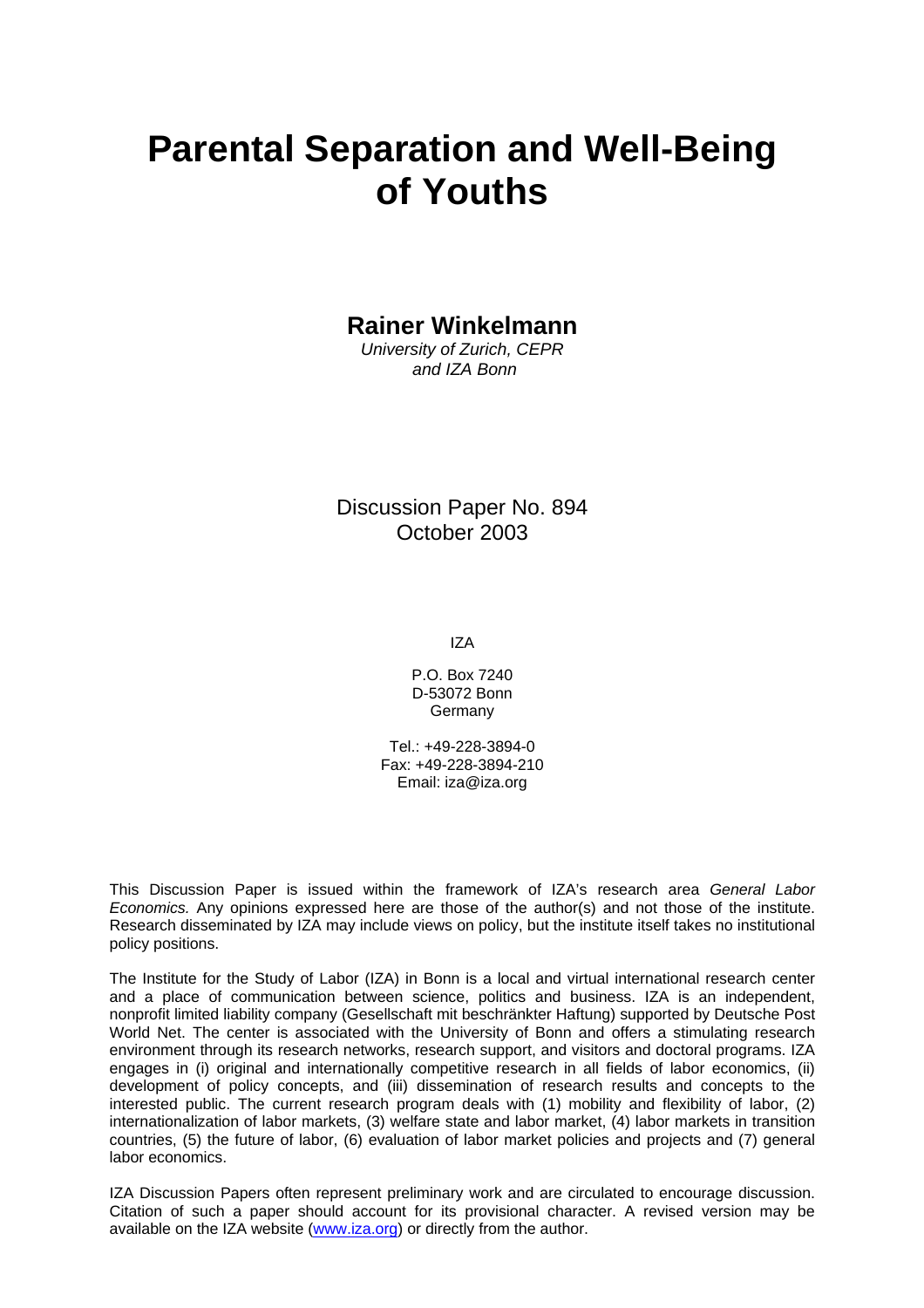# **Parental Separation and Well-Being of Youths**

**Rainer Winkelmann** 

*University of Zurich, CEPR and IZA Bonn* 

Discussion Paper No. 894 October 2003

IZA

P.O. Box 7240 D-53072 Bonn Germany

Tel.: +49-228-3894-0 Fax: +49-228-3894-210 Email: [iza@iza.org](mailto:iza@iza.org)

This Discussion Paper is issued within the framework of IZA's research area *General Labor Economics.* Any opinions expressed here are those of the author(s) and not those of the institute. Research disseminated by IZA may include views on policy, but the institute itself takes no institutional policy positions.

The Institute for the Study of Labor (IZA) in Bonn is a local and virtual international research center and a place of communication between science, politics and business. IZA is an independent, nonprofit limited liability company (Gesellschaft mit beschränkter Haftung) supported by Deutsche Post World Net. The center is associated with the University of Bonn and offers a stimulating research environment through its research networks, research support, and visitors and doctoral programs. IZA engages in (i) original and internationally competitive research in all fields of labor economics, (ii) development of policy concepts, and (iii) dissemination of research results and concepts to the interested public. The current research program deals with (1) mobility and flexibility of labor, (2) internationalization of labor markets, (3) welfare state and labor market, (4) labor markets in transition countries, (5) the future of labor, (6) evaluation of labor market policies and projects and (7) general labor economics.

IZA Discussion Papers often represent preliminary work and are circulated to encourage discussion. Citation of such a paper should account for its provisional character. A revised version may be available on the IZA website ([www.iza.org](http://www.iza.org/)) or directly from the author.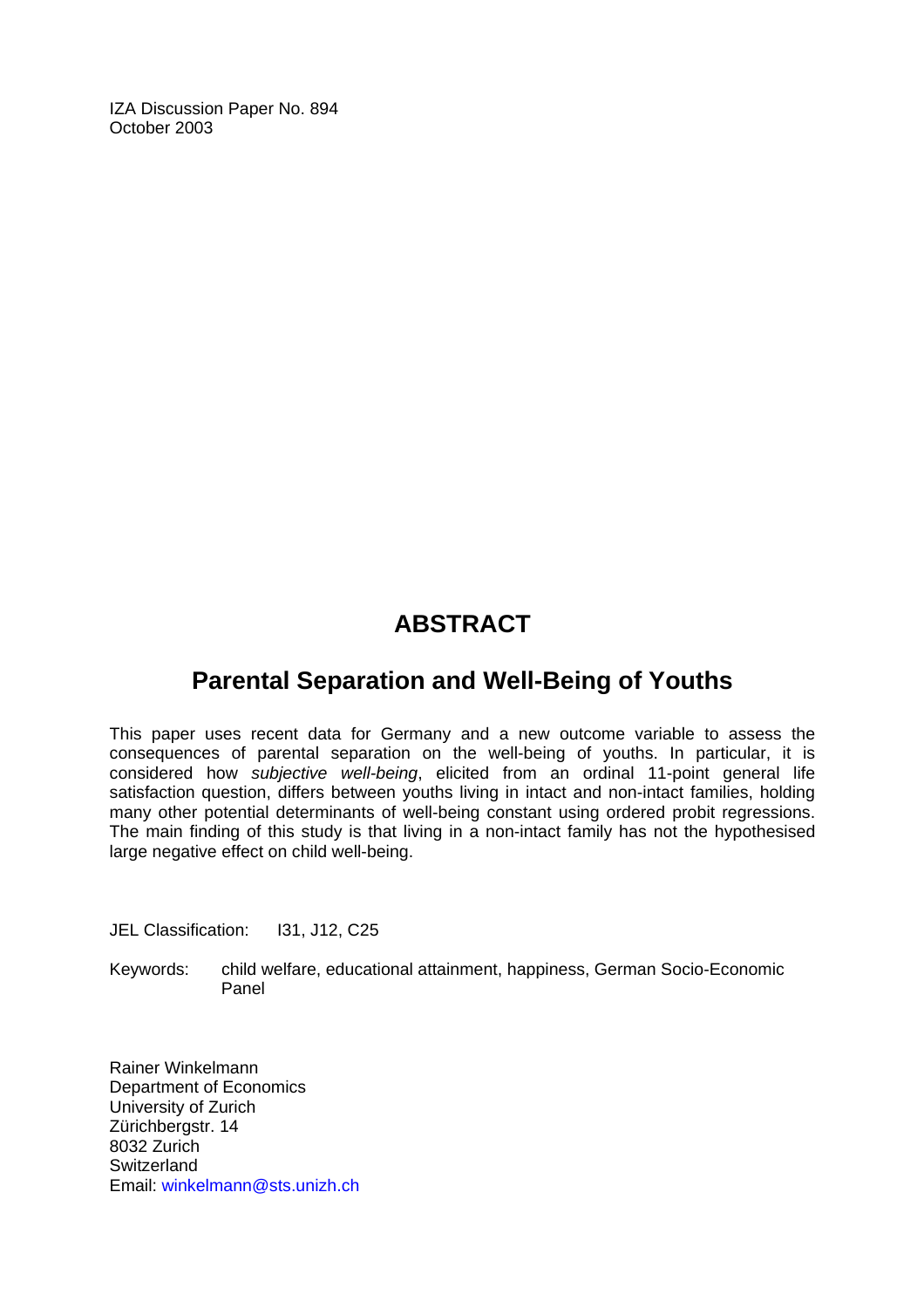IZA Discussion Paper No. 894 October 2003

## **ABSTRACT**

## **Parental Separation and Well-Being of Youths**

This paper uses recent data for Germany and a new outcome variable to assess the consequences of parental separation on the well-being of youths. In particular, it is considered how *subjective well-being*, elicited from an ordinal 11-point general life satisfaction question, differs between youths living in intact and non-intact families, holding many other potential determinants of well-being constant using ordered probit regressions. The main finding of this study is that living in a non-intact family has not the hypothesised large negative effect on child well-being.

JEL Classification: I31, J12, C25

Keywords: child welfare, educational attainment, happiness, German Socio-Economic Panel

Rainer Winkelmann Department of Economics University of Zurich Zürichbergstr, 14 8032 Zurich **Switzerland** Email: [winkelmann@sts.unizh.ch](mailto:winkelmann@sts.unizh.ch)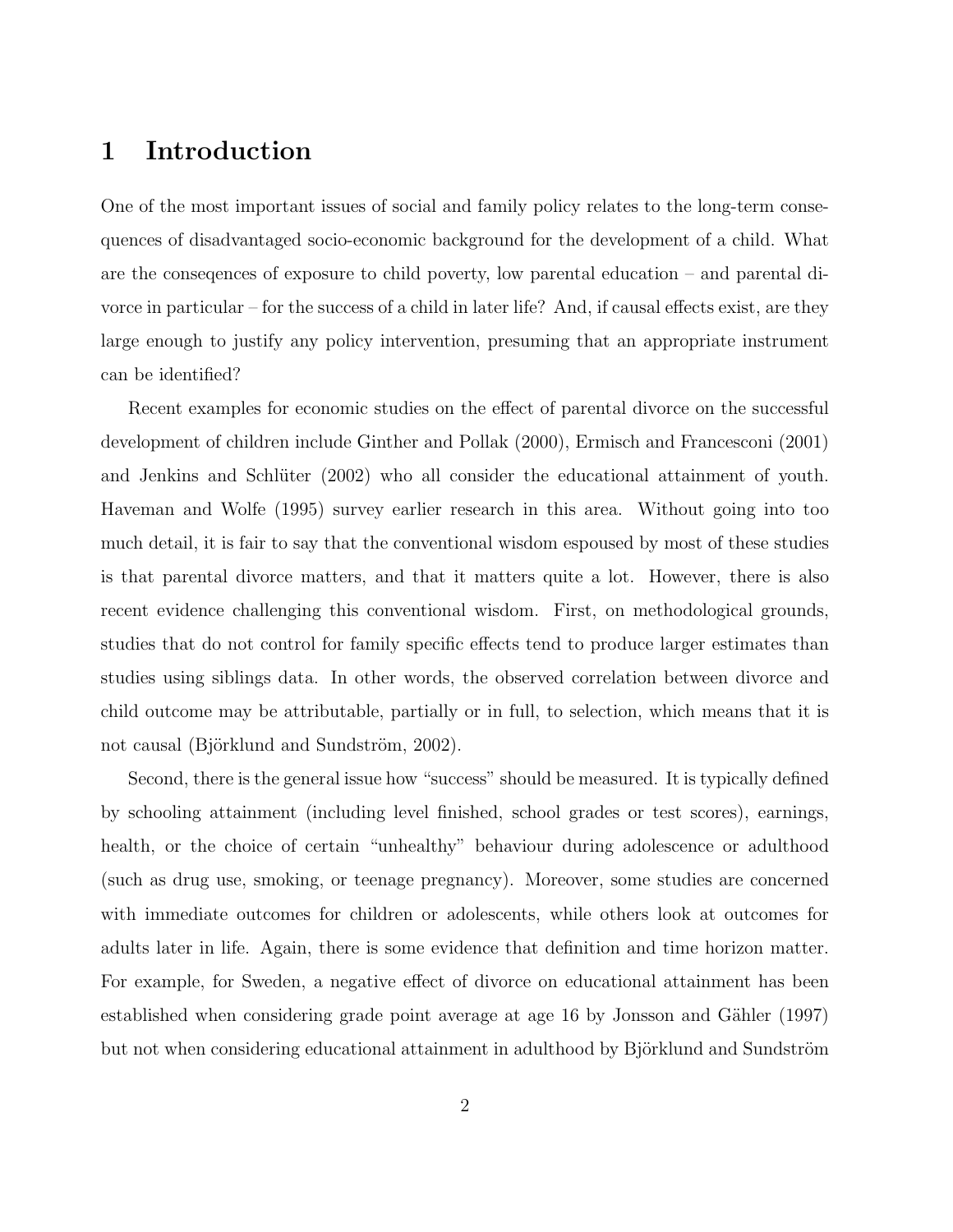## 1 Introduction

One of the most important issues of social and family policy relates to the long-term consequences of disadvantaged socio-economic background for the development of a child. What are the conseqences of exposure to child poverty, low parental education – and parental divorce in particular – for the success of a child in later life? And, if causal effects exist, are they large enough to justify any policy intervention, presuming that an appropriate instrument can be identified?

Recent examples for economic studies on the effect of parental divorce on the successful development of children include Ginther and Pollak (2000), Ermisch and Francesconi (2001) and Jenkins and Schlüter (2002) who all consider the educational attainment of youth. Haveman and Wolfe (1995) survey earlier research in this area. Without going into too much detail, it is fair to say that the conventional wisdom espoused by most of these studies is that parental divorce matters, and that it matters quite a lot. However, there is also recent evidence challenging this conventional wisdom. First, on methodological grounds, studies that do not control for family specific effects tend to produce larger estimates than studies using siblings data. In other words, the observed correlation between divorce and child outcome may be attributable, partially or in full, to selection, which means that it is not causal (Björklund and Sundström, 2002).

Second, there is the general issue how "success" should be measured. It is typically defined by schooling attainment (including level finished, school grades or test scores), earnings, health, or the choice of certain "unhealthy" behaviour during adolescence or adulthood (such as drug use, smoking, or teenage pregnancy). Moreover, some studies are concerned with immediate outcomes for children or adolescents, while others look at outcomes for adults later in life. Again, there is some evidence that definition and time horizon matter. For example, for Sweden, a negative effect of divorce on educational attainment has been established when considering grade point average at age 16 by Jonsson and Gähler (1997) but not when considering educational attainment in adulthood by Björklund and Sundström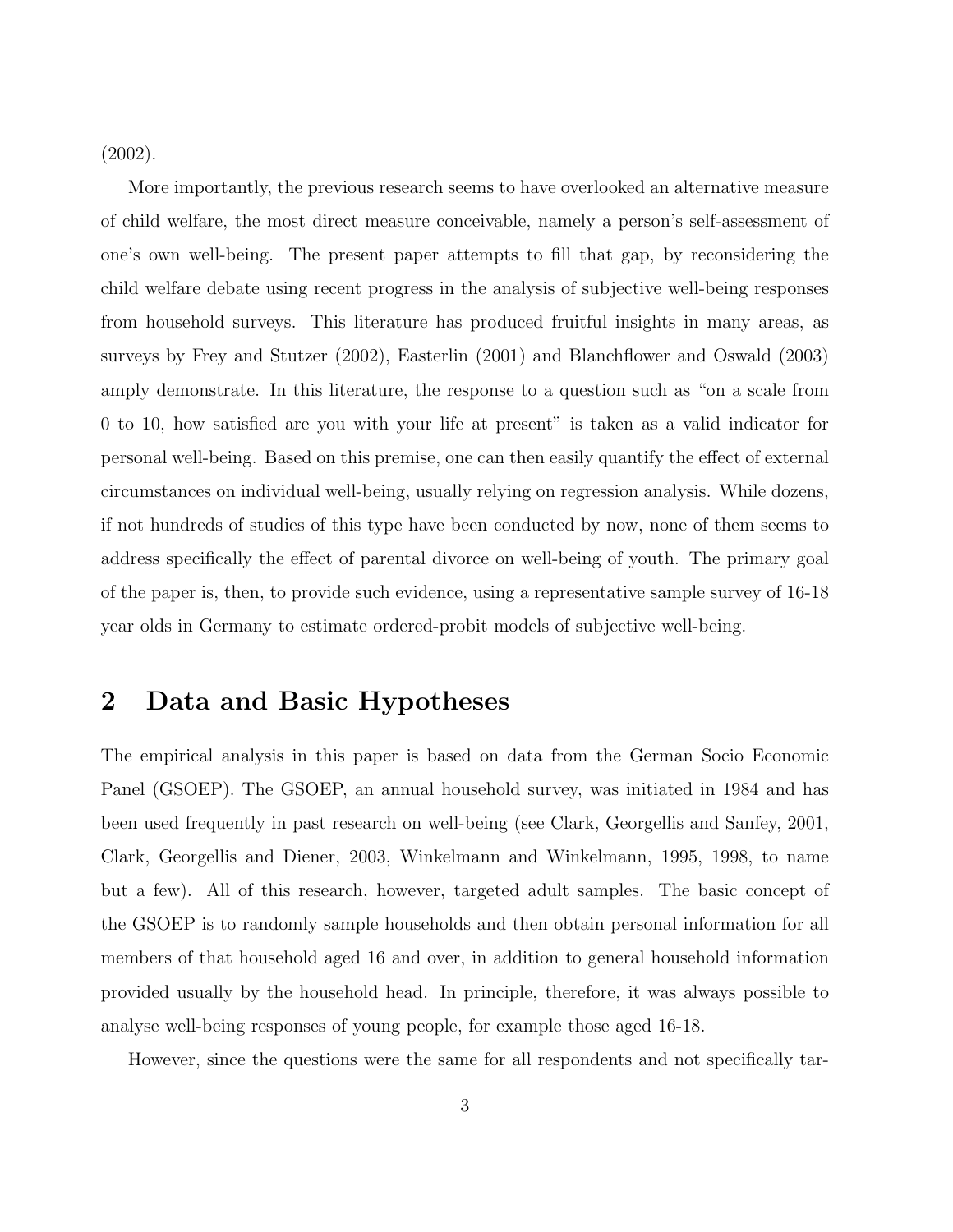(2002).

More importantly, the previous research seems to have overlooked an alternative measure of child welfare, the most direct measure conceivable, namely a person's self-assessment of one's own well-being. The present paper attempts to fill that gap, by reconsidering the child welfare debate using recent progress in the analysis of subjective well-being responses from household surveys. This literature has produced fruitful insights in many areas, as surveys by Frey and Stutzer (2002), Easterlin (2001) and Blanchflower and Oswald (2003) amply demonstrate. In this literature, the response to a question such as "on a scale from 0 to 10, how satisfied are you with your life at present" is taken as a valid indicator for personal well-being. Based on this premise, one can then easily quantify the effect of external circumstances on individual well-being, usually relying on regression analysis. While dozens, if not hundreds of studies of this type have been conducted by now, none of them seems to address specifically the effect of parental divorce on well-being of youth. The primary goal of the paper is, then, to provide such evidence, using a representative sample survey of 16-18 year olds in Germany to estimate ordered-probit models of subjective well-being.

## 2 Data and Basic Hypotheses

The empirical analysis in this paper is based on data from the German Socio Economic Panel (GSOEP). The GSOEP, an annual household survey, was initiated in 1984 and has been used frequently in past research on well-being (see Clark, Georgellis and Sanfey, 2001, Clark, Georgellis and Diener, 2003, Winkelmann and Winkelmann, 1995, 1998, to name but a few). All of this research, however, targeted adult samples. The basic concept of the GSOEP is to randomly sample households and then obtain personal information for all members of that household aged 16 and over, in addition to general household information provided usually by the household head. In principle, therefore, it was always possible to analyse well-being responses of young people, for example those aged 16-18.

However, since the questions were the same for all respondents and not specifically tar-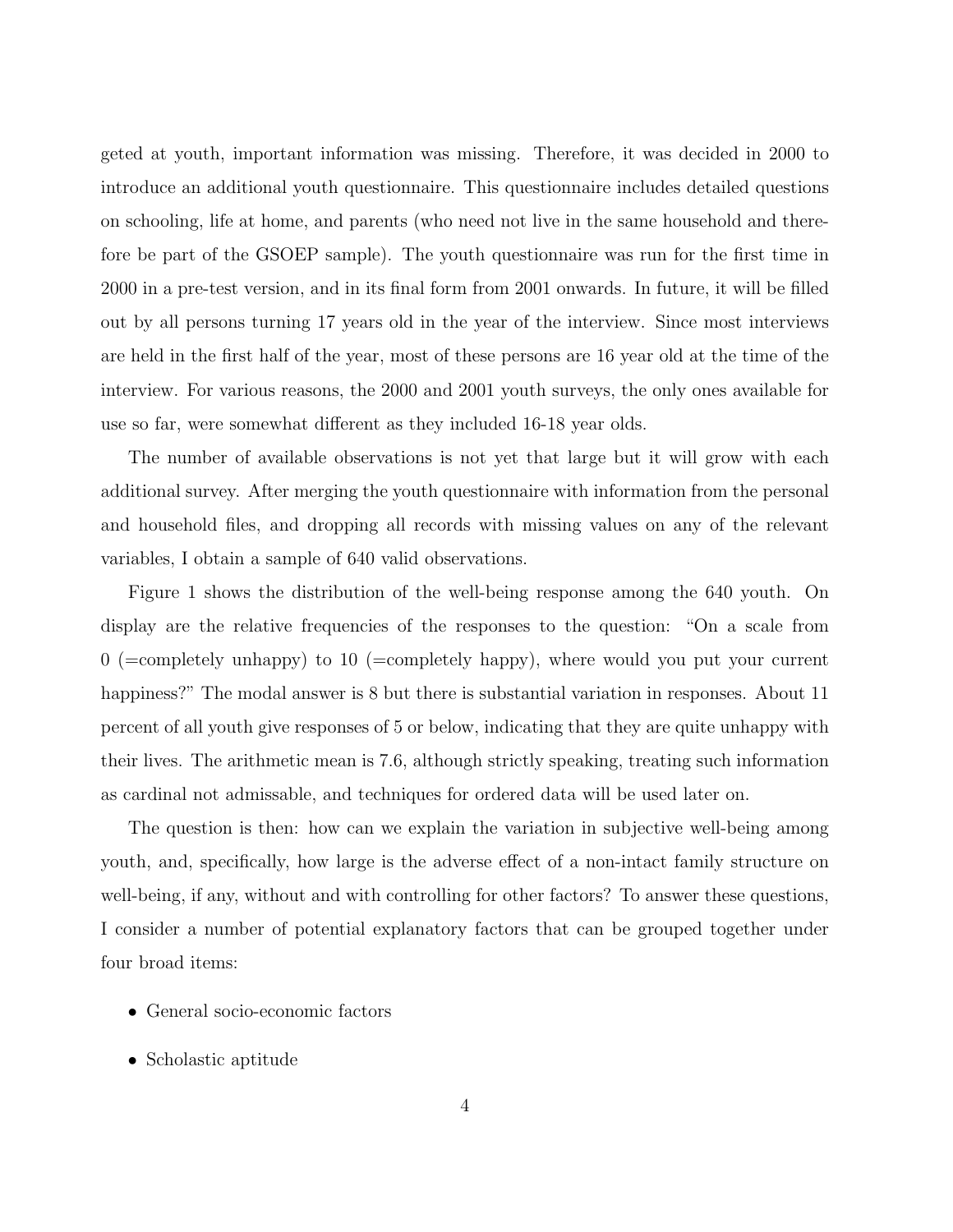geted at youth, important information was missing. Therefore, it was decided in 2000 to introduce an additional youth questionnaire. This questionnaire includes detailed questions on schooling, life at home, and parents (who need not live in the same household and therefore be part of the GSOEP sample). The youth questionnaire was run for the first time in 2000 in a pre-test version, and in its final form from 2001 onwards. In future, it will be filled out by all persons turning 17 years old in the year of the interview. Since most interviews are held in the first half of the year, most of these persons are 16 year old at the time of the interview. For various reasons, the 2000 and 2001 youth surveys, the only ones available for use so far, were somewhat different as they included 16-18 year olds.

The number of available observations is not yet that large but it will grow with each additional survey. After merging the youth questionnaire with information from the personal and household files, and dropping all records with missing values on any of the relevant variables, I obtain a sample of 640 valid observations.

Figure 1 shows the distribution of the well-being response among the 640 youth. On display are the relative frequencies of the responses to the question: "On a scale from  $0$  (=completely unhappy) to 10 (=completely happy), where would you put your current happiness?" The modal answer is 8 but there is substantial variation in responses. About 11 percent of all youth give responses of 5 or below, indicating that they are quite unhappy with their lives. The arithmetic mean is 7.6, although strictly speaking, treating such information as cardinal not admissable, and techniques for ordered data will be used later on.

The question is then: how can we explain the variation in subjective well-being among youth, and, specifically, how large is the adverse effect of a non-intact family structure on well-being, if any, without and with controlling for other factors? To answer these questions, I consider a number of potential explanatory factors that can be grouped together under four broad items:

- General socio-economic factors
- Scholastic aptitude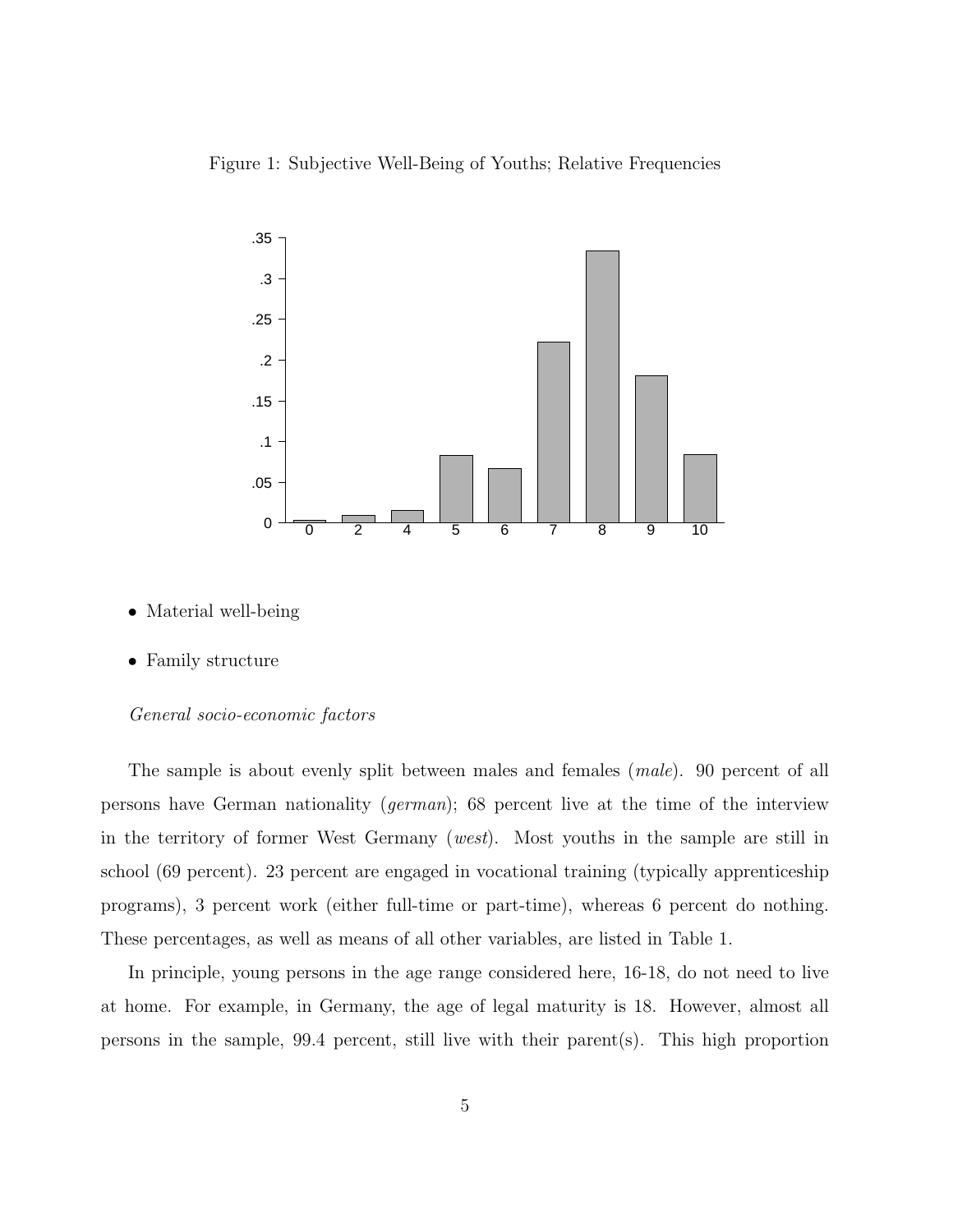Figure 1: Subjective Well-Being of Youths; Relative Frequencies



- Material well-being
- Family structure

#### General socio-economic factors

The sample is about evenly split between males and females (male). 90 percent of all persons have German nationality (german); 68 percent live at the time of the interview in the territory of former West Germany (west). Most youths in the sample are still in school (69 percent). 23 percent are engaged in vocational training (typically apprenticeship programs), 3 percent work (either full-time or part-time), whereas 6 percent do nothing. These percentages, as well as means of all other variables, are listed in Table 1.

In principle, young persons in the age range considered here, 16-18, do not need to live at home. For example, in Germany, the age of legal maturity is 18. However, almost all persons in the sample, 99.4 percent, still live with their parent(s). This high proportion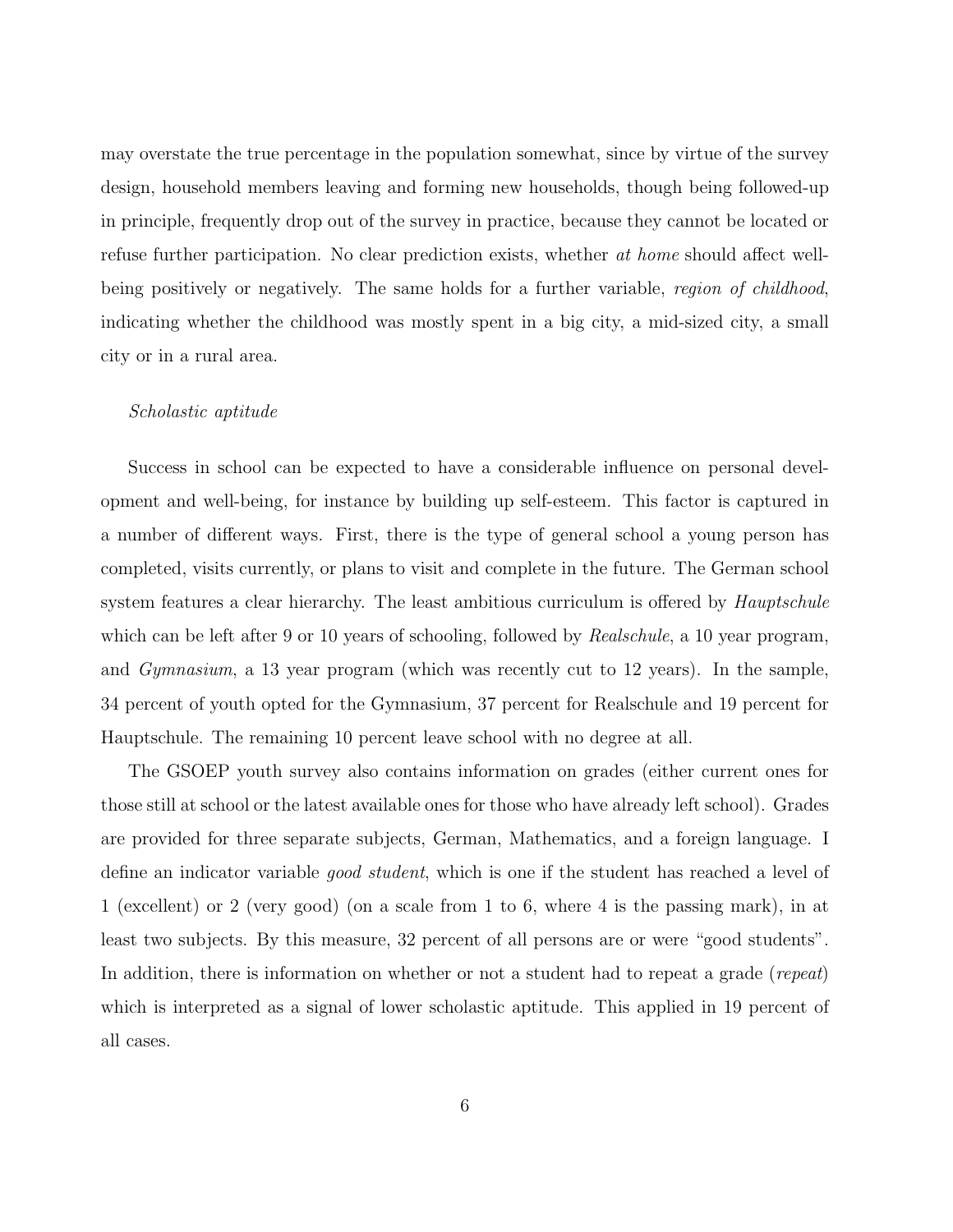may overstate the true percentage in the population somewhat, since by virtue of the survey design, household members leaving and forming new households, though being followed-up in principle, frequently drop out of the survey in practice, because they cannot be located or refuse further participation. No clear prediction exists, whether at home should affect wellbeing positively or negatively. The same holds for a further variable, region of childhood, indicating whether the childhood was mostly spent in a big city, a mid-sized city, a small city or in a rural area.

#### Scholastic aptitude

Success in school can be expected to have a considerable influence on personal development and well-being, for instance by building up self-esteem. This factor is captured in a number of different ways. First, there is the type of general school a young person has completed, visits currently, or plans to visit and complete in the future. The German school system features a clear hierarchy. The least ambitious curriculum is offered by *Hauptschule* which can be left after 9 or 10 years of schooling, followed by Realschule, a 10 year program, and *Gymnasium*, a 13 year program (which was recently cut to 12 years). In the sample, 34 percent of youth opted for the Gymnasium, 37 percent for Realschule and 19 percent for Hauptschule. The remaining 10 percent leave school with no degree at all.

The GSOEP youth survey also contains information on grades (either current ones for those still at school or the latest available ones for those who have already left school). Grades are provided for three separate subjects, German, Mathematics, and a foreign language. I define an indicator variable *good student*, which is one if the student has reached a level of 1 (excellent) or 2 (very good) (on a scale from 1 to 6, where 4 is the passing mark), in at least two subjects. By this measure, 32 percent of all persons are or were "good students". In addition, there is information on whether or not a student had to repeat a grade (repeat) which is interpreted as a signal of lower scholastic aptitude. This applied in 19 percent of all cases.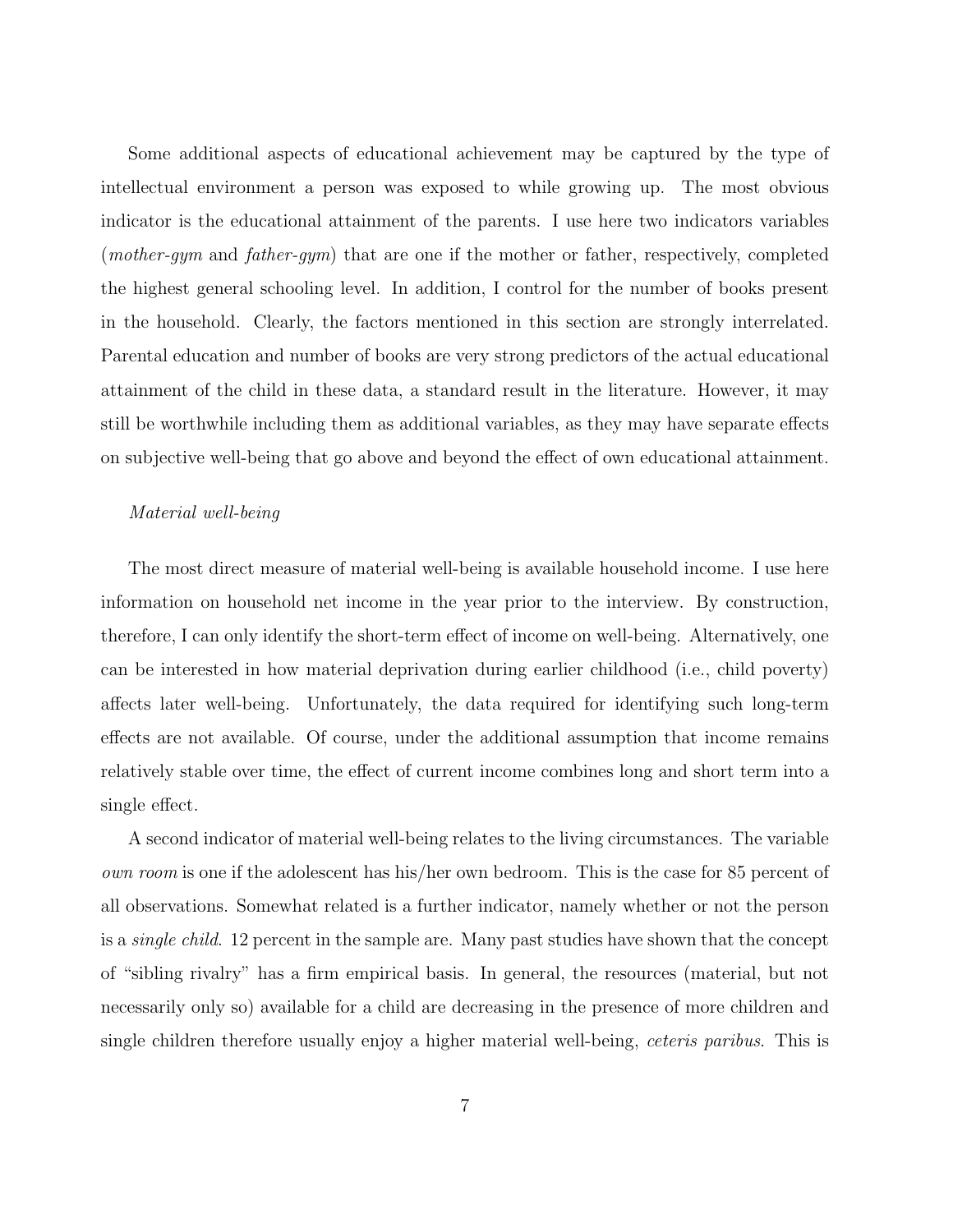Some additional aspects of educational achievement may be captured by the type of intellectual environment a person was exposed to while growing up. The most obvious indicator is the educational attainment of the parents. I use here two indicators variables (*mother-gym* and *father-gym*) that are one if the mother or father, respectively, completed the highest general schooling level. In addition, I control for the number of books present in the household. Clearly, the factors mentioned in this section are strongly interrelated. Parental education and number of books are very strong predictors of the actual educational attainment of the child in these data, a standard result in the literature. However, it may still be worthwhile including them as additional variables, as they may have separate effects on subjective well-being that go above and beyond the effect of own educational attainment.

#### Material well-being

The most direct measure of material well-being is available household income. I use here information on household net income in the year prior to the interview. By construction, therefore, I can only identify the short-term effect of income on well-being. Alternatively, one can be interested in how material deprivation during earlier childhood (i.e., child poverty) affects later well-being. Unfortunately, the data required for identifying such long-term effects are not available. Of course, under the additional assumption that income remains relatively stable over time, the effect of current income combines long and short term into a single effect.

A second indicator of material well-being relates to the living circumstances. The variable own room is one if the adolescent has his/her own bedroom. This is the case for 85 percent of all observations. Somewhat related is a further indicator, namely whether or not the person is a *single child.* 12 percent in the sample are. Many past studies have shown that the concept of "sibling rivalry" has a firm empirical basis. In general, the resources (material, but not necessarily only so) available for a child are decreasing in the presence of more children and single children therefore usually enjoy a higher material well-being, *ceteris paribus*. This is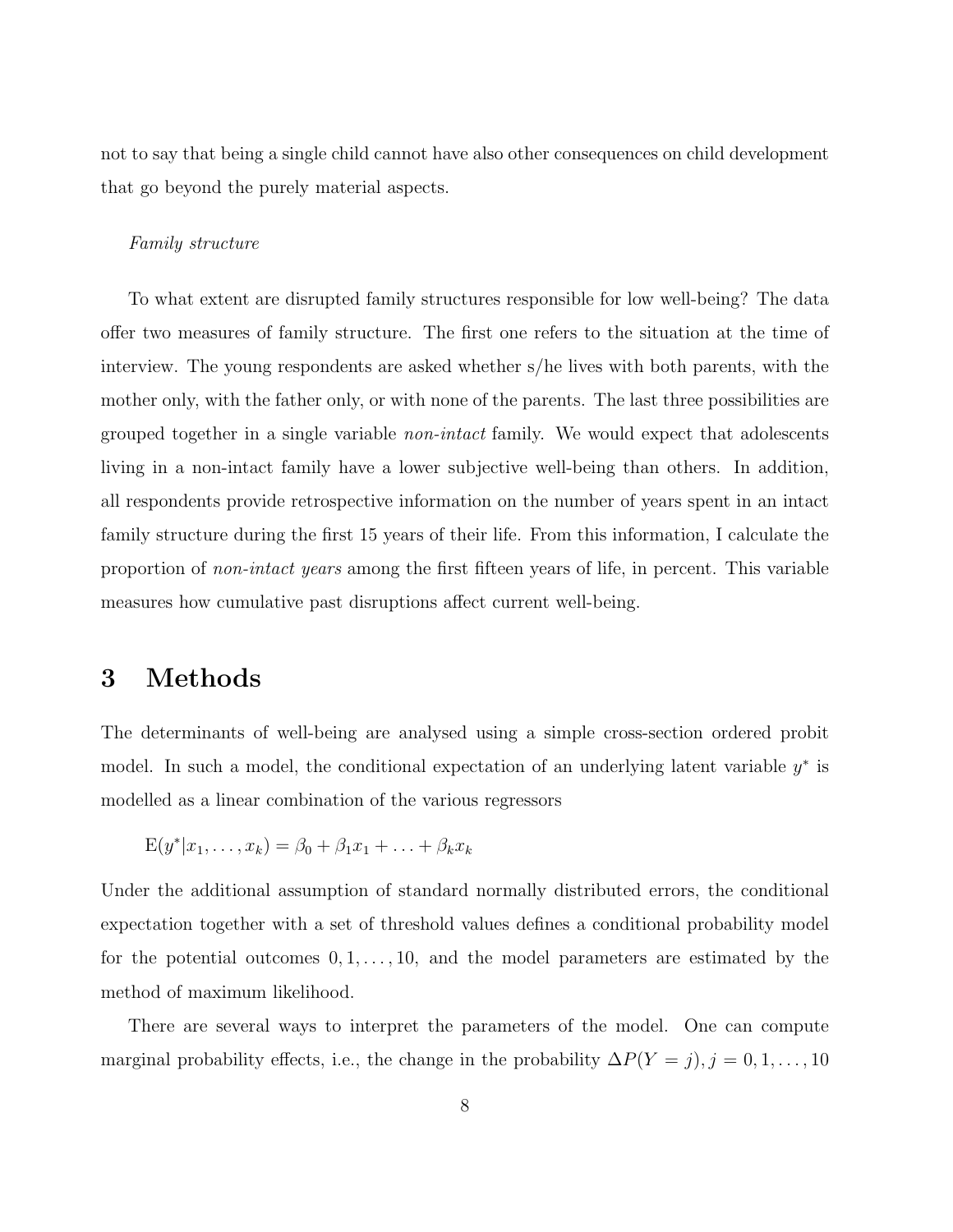not to say that being a single child cannot have also other consequences on child development that go beyond the purely material aspects.

#### Family structure

To what extent are disrupted family structures responsible for low well-being? The data offer two measures of family structure. The first one refers to the situation at the time of interview. The young respondents are asked whether s/he lives with both parents, with the mother only, with the father only, or with none of the parents. The last three possibilities are grouped together in a single variable non-intact family. We would expect that adolescents living in a non-intact family have a lower subjective well-being than others. In addition, all respondents provide retrospective information on the number of years spent in an intact family structure during the first 15 years of their life. From this information, I calculate the proportion of *non-intact years* among the first fifteen years of life, in percent. This variable measures how cumulative past disruptions affect current well-being.

## 3 Methods

The determinants of well-being are analysed using a simple cross-section ordered probit model. In such a model, the conditional expectation of an underlying latent variable  $y^*$  is modelled as a linear combination of the various regressors

$$
E(y^*|x_1,\ldots,x_k)=\beta_0+\beta_1x_1+\ldots+\beta_kx_k
$$

Under the additional assumption of standard normally distributed errors, the conditional expectation together with a set of threshold values defines a conditional probability model for the potential outcomes  $0, 1, \ldots, 10$ , and the model parameters are estimated by the method of maximum likelihood.

There are several ways to interpret the parameters of the model. One can compute marginal probability effects, i.e., the change in the probability  $\Delta P(Y = j), j = 0, 1, ..., 10$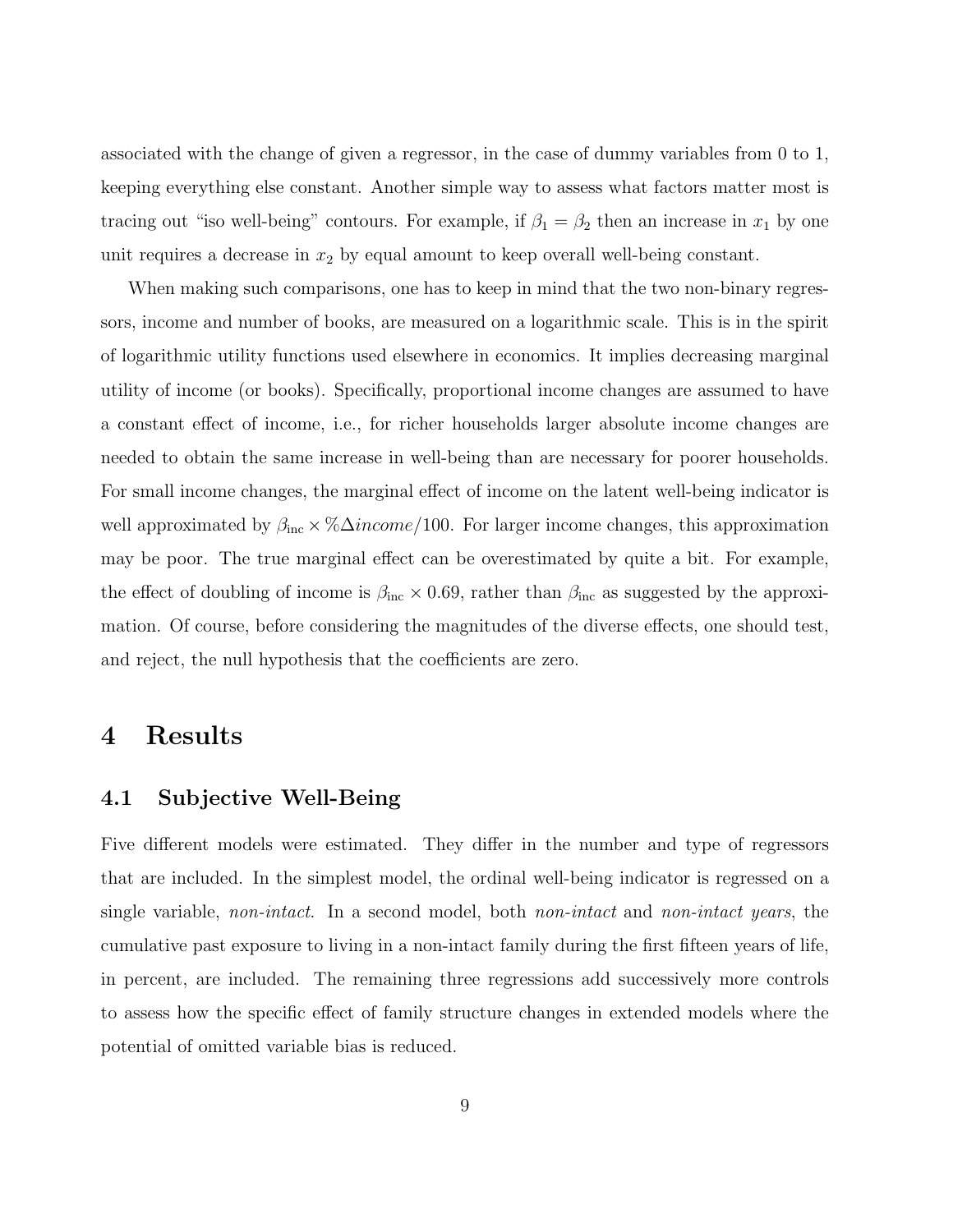associated with the change of given a regressor, in the case of dummy variables from 0 to 1, keeping everything else constant. Another simple way to assess what factors matter most is tracing out "iso well-being" contours. For example, if  $\beta_1 = \beta_2$  then an increase in  $x_1$  by one unit requires a decrease in  $x_2$  by equal amount to keep overall well-being constant.

When making such comparisons, one has to keep in mind that the two non-binary regressors, income and number of books, are measured on a logarithmic scale. This is in the spirit of logarithmic utility functions used elsewhere in economics. It implies decreasing marginal utility of income (or books). Specifically, proportional income changes are assumed to have a constant effect of income, i.e., for richer households larger absolute income changes are needed to obtain the same increase in well-being than are necessary for poorer households. For small income changes, the marginal effect of income on the latent well-being indicator is well approximated by  $\beta_{\text{inc}} \times \% \Delta income/100$ . For larger income changes, this approximation may be poor. The true marginal effect can be overestimated by quite a bit. For example, the effect of doubling of income is  $\beta_{\text{inc}} \times 0.69$ , rather than  $\beta_{\text{inc}}$  as suggested by the approximation. Of course, before considering the magnitudes of the diverse effects, one should test, and reject, the null hypothesis that the coefficients are zero.

### 4 Results

#### 4.1 Subjective Well-Being

Five different models were estimated. They differ in the number and type of regressors that are included. In the simplest model, the ordinal well-being indicator is regressed on a single variable, non-intact. In a second model, both non-intact and non-intact years, the cumulative past exposure to living in a non-intact family during the first fifteen years of life, in percent, are included. The remaining three regressions add successively more controls to assess how the specific effect of family structure changes in extended models where the potential of omitted variable bias is reduced.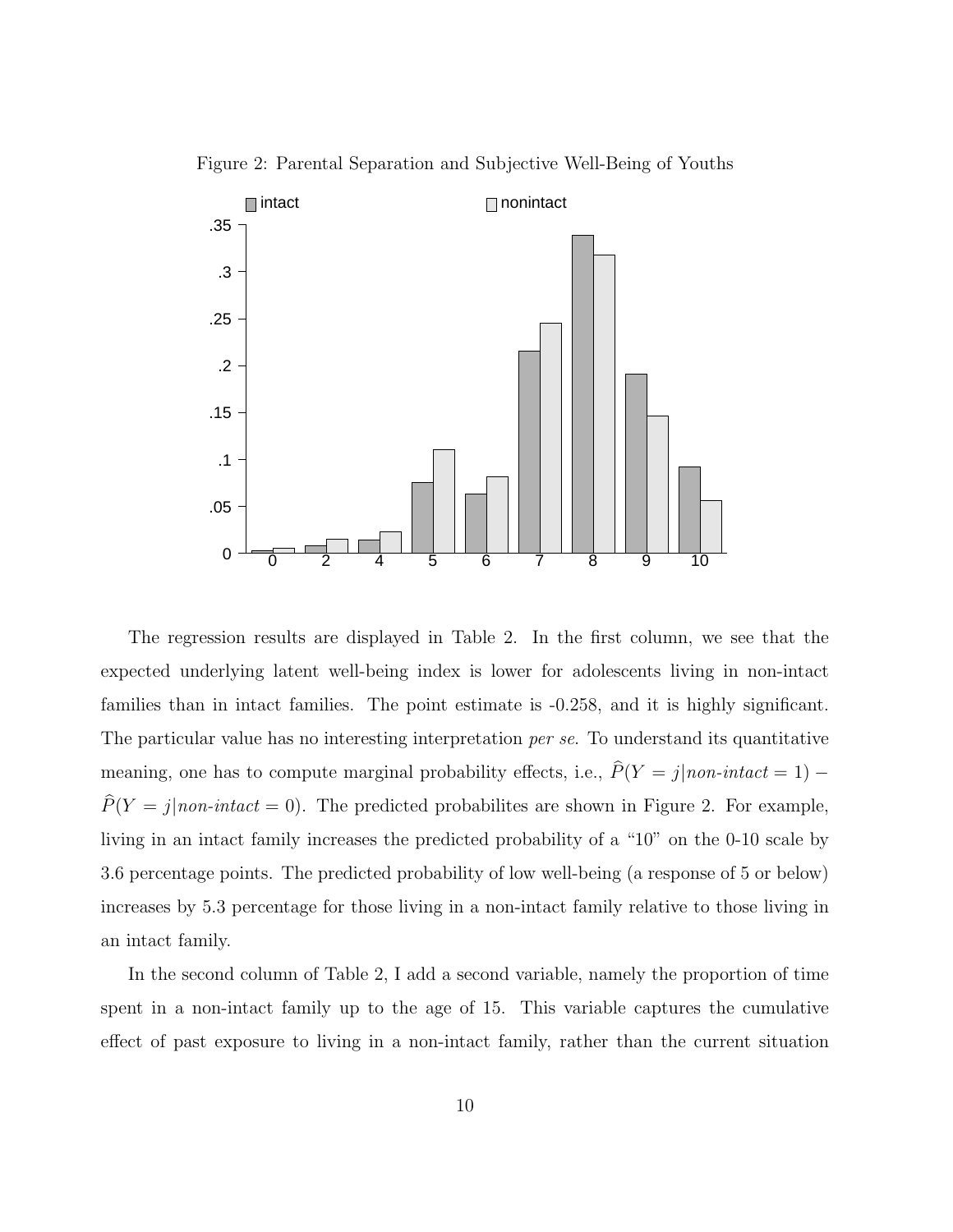

Figure 2: Parental Separation and Subjective Well-Being of Youths

The regression results are displayed in Table 2. In the first column, we see that the expected underlying latent well-being index is lower for adolescents living in non-intact families than in intact families. The point estimate is -0.258, and it is highly significant. The particular value has no interesting interpretation *per se*. To understand its quantitative meaning, one has to compute marginal probability effects, i.e.,  $\hat{P}(Y = j|non-intact = 1)$  –  $\widehat{P}(Y = j \mid non-intact = 0)$ . The predicted probabilites are shown in Figure 2. For example, living in an intact family increases the predicted probability of a "10" on the 0-10 scale by 3.6 percentage points. The predicted probability of low well-being (a response of 5 or below) increases by 5.3 percentage for those living in a non-intact family relative to those living in an intact family.

In the second column of Table 2, I add a second variable, namely the proportion of time spent in a non-intact family up to the age of 15. This variable captures the cumulative effect of past exposure to living in a non-intact family, rather than the current situation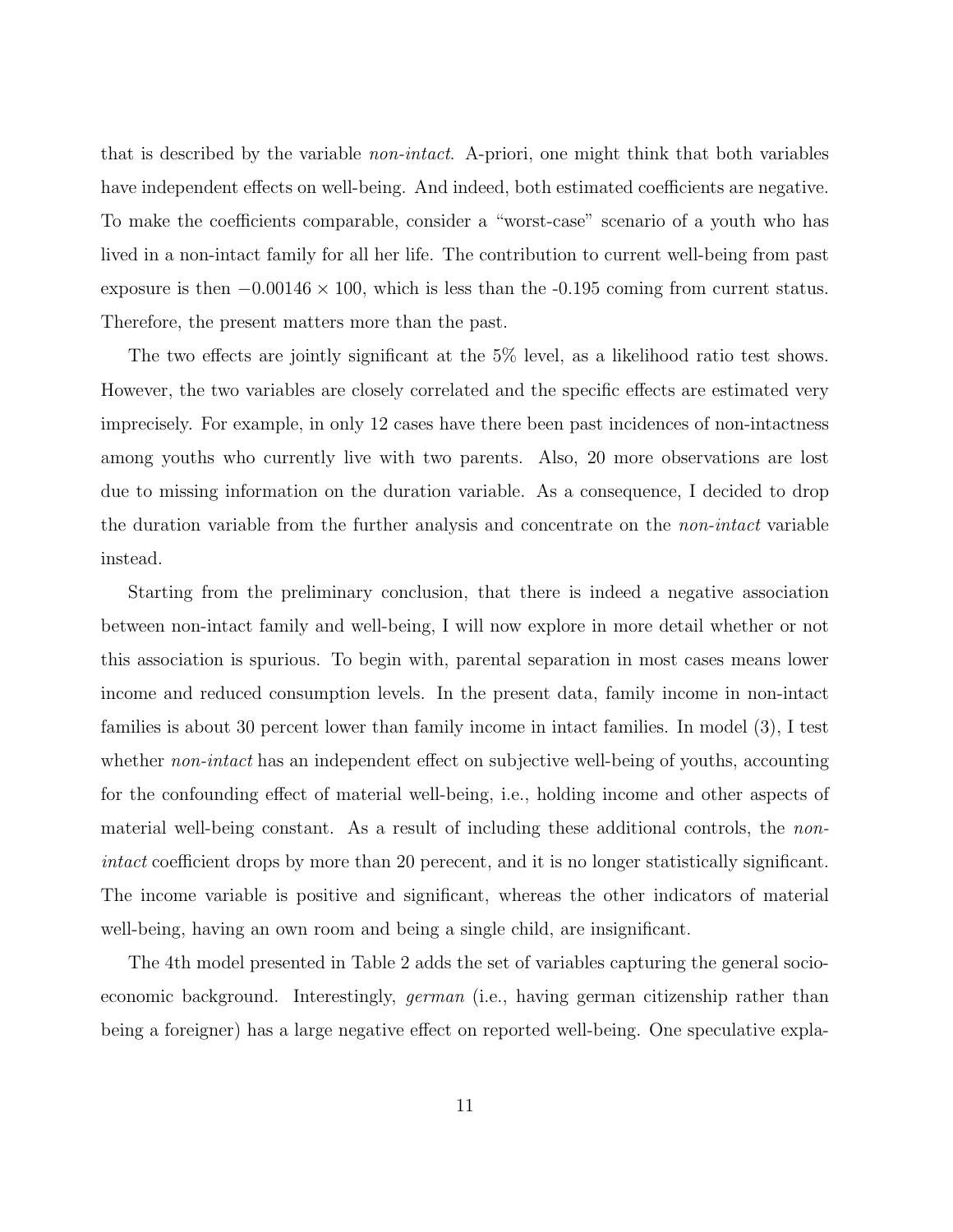that is described by the variable non-intact. A-priori, one might think that both variables have independent effects on well-being. And indeed, both estimated coefficients are negative. To make the coefficients comparable, consider a "worst-case" scenario of a youth who has lived in a non-intact family for all her life. The contribution to current well-being from past exposure is then  $-0.00146 \times 100$ , which is less than the  $-0.195$  coming from current status. Therefore, the present matters more than the past.

The two effects are jointly significant at the 5% level, as a likelihood ratio test shows. However, the two variables are closely correlated and the specific effects are estimated very imprecisely. For example, in only 12 cases have there been past incidences of non-intactness among youths who currently live with two parents. Also, 20 more observations are lost due to missing information on the duration variable. As a consequence, I decided to drop the duration variable from the further analysis and concentrate on the non-intact variable instead.

Starting from the preliminary conclusion, that there is indeed a negative association between non-intact family and well-being, I will now explore in more detail whether or not this association is spurious. To begin with, parental separation in most cases means lower income and reduced consumption levels. In the present data, family income in non-intact families is about 30 percent lower than family income in intact families. In model (3), I test whether non-intact has an independent effect on subjective well-being of youths, accounting for the confounding effect of material well-being, i.e., holding income and other aspects of material well-being constant. As a result of including these additional controls, the *non*intact coefficient drops by more than 20 perecent, and it is no longer statistically significant. The income variable is positive and significant, whereas the other indicators of material well-being, having an own room and being a single child, are insignificant.

The 4th model presented in Table 2 adds the set of variables capturing the general socioeconomic background. Interestingly, *german* (i.e., having german citizenship rather than being a foreigner) has a large negative effect on reported well-being. One speculative expla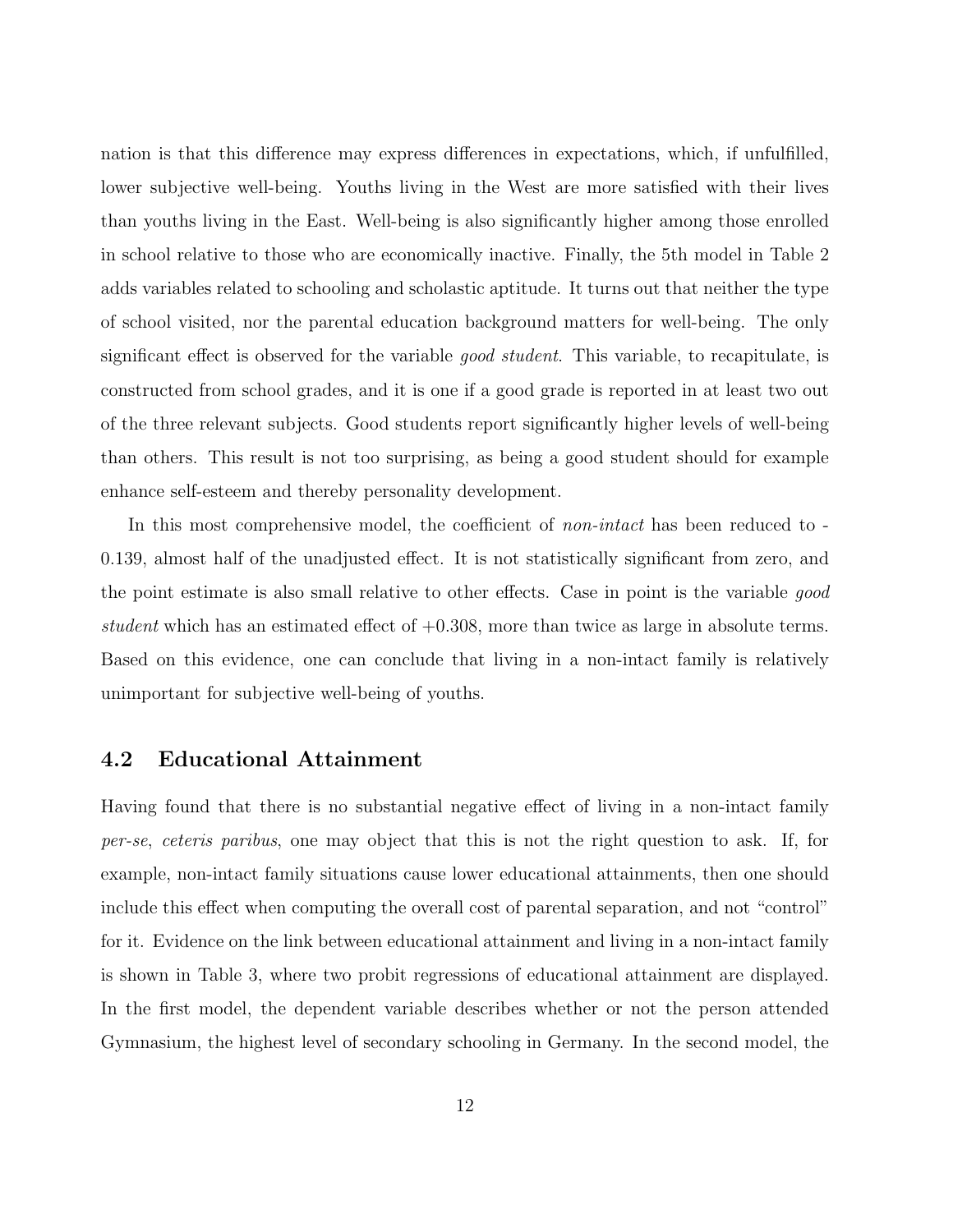nation is that this difference may express differences in expectations, which, if unfulfilled, lower subjective well-being. Youths living in the West are more satisfied with their lives than youths living in the East. Well-being is also significantly higher among those enrolled in school relative to those who are economically inactive. Finally, the 5th model in Table 2 adds variables related to schooling and scholastic aptitude. It turns out that neither the type of school visited, nor the parental education background matters for well-being. The only significant effect is observed for the variable *good student*. This variable, to recapitulate, is constructed from school grades, and it is one if a good grade is reported in at least two out of the three relevant subjects. Good students report significantly higher levels of well-being than others. This result is not too surprising, as being a good student should for example enhance self-esteem and thereby personality development.

In this most comprehensive model, the coefficient of *non-intact* has been reduced to -0.139, almost half of the unadjusted effect. It is not statistically significant from zero, and the point estimate is also small relative to other effects. Case in point is the variable good student which has an estimated effect of  $+0.308$ , more than twice as large in absolute terms. Based on this evidence, one can conclude that living in a non-intact family is relatively unimportant for subjective well-being of youths.

#### 4.2 Educational Attainment

Having found that there is no substantial negative effect of living in a non-intact family per-se, ceteris paribus, one may object that this is not the right question to ask. If, for example, non-intact family situations cause lower educational attainments, then one should include this effect when computing the overall cost of parental separation, and not "control" for it. Evidence on the link between educational attainment and living in a non-intact family is shown in Table 3, where two probit regressions of educational attainment are displayed. In the first model, the dependent variable describes whether or not the person attended Gymnasium, the highest level of secondary schooling in Germany. In the second model, the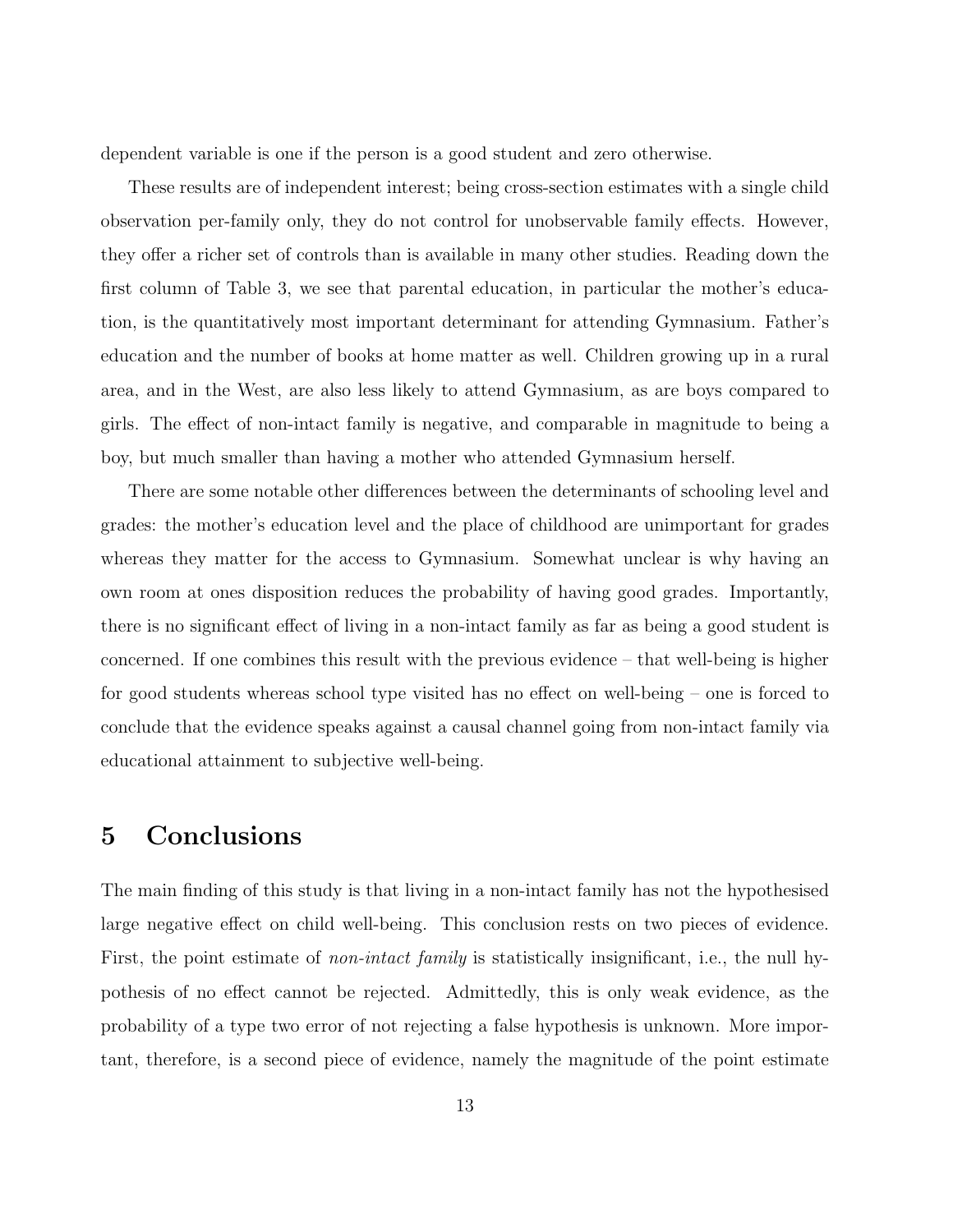dependent variable is one if the person is a good student and zero otherwise.

These results are of independent interest; being cross-section estimates with a single child observation per-family only, they do not control for unobservable family effects. However, they offer a richer set of controls than is available in many other studies. Reading down the first column of Table 3, we see that parental education, in particular the mother's education, is the quantitatively most important determinant for attending Gymnasium. Father's education and the number of books at home matter as well. Children growing up in a rural area, and in the West, are also less likely to attend Gymnasium, as are boys compared to girls. The effect of non-intact family is negative, and comparable in magnitude to being a boy, but much smaller than having a mother who attended Gymnasium herself.

There are some notable other differences between the determinants of schooling level and grades: the mother's education level and the place of childhood are unimportant for grades whereas they matter for the access to Gymnasium. Somewhat unclear is why having an own room at ones disposition reduces the probability of having good grades. Importantly, there is no significant effect of living in a non-intact family as far as being a good student is concerned. If one combines this result with the previous evidence – that well-being is higher for good students whereas school type visited has no effect on well-being – one is forced to conclude that the evidence speaks against a causal channel going from non-intact family via educational attainment to subjective well-being.

## 5 Conclusions

The main finding of this study is that living in a non-intact family has not the hypothesised large negative effect on child well-being. This conclusion rests on two pieces of evidence. First, the point estimate of *non-intact family* is statistically insignificant, i.e., the null hypothesis of no effect cannot be rejected. Admittedly, this is only weak evidence, as the probability of a type two error of not rejecting a false hypothesis is unknown. More important, therefore, is a second piece of evidence, namely the magnitude of the point estimate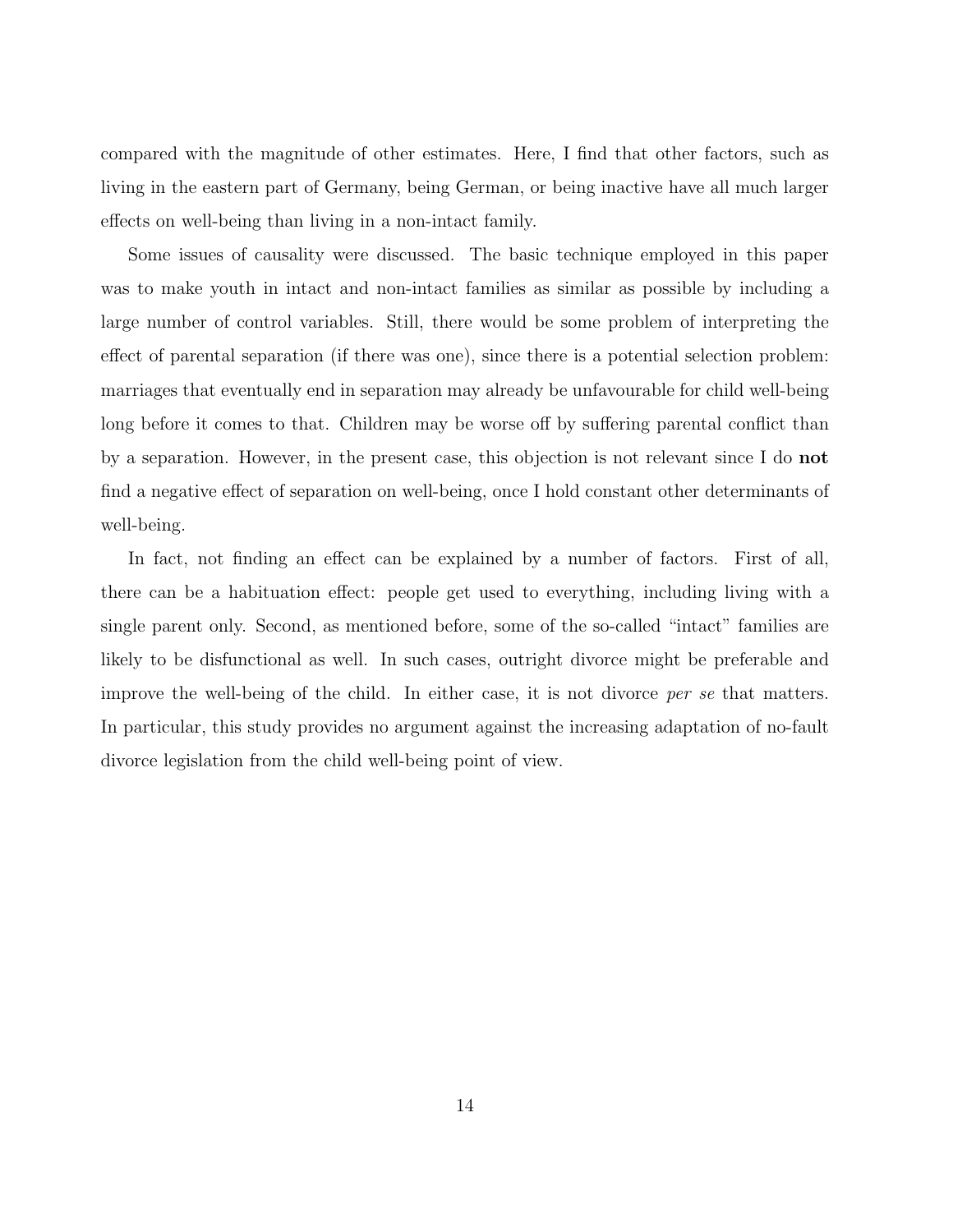compared with the magnitude of other estimates. Here, I find that other factors, such as living in the eastern part of Germany, being German, or being inactive have all much larger effects on well-being than living in a non-intact family.

Some issues of causality were discussed. The basic technique employed in this paper was to make youth in intact and non-intact families as similar as possible by including a large number of control variables. Still, there would be some problem of interpreting the effect of parental separation (if there was one), since there is a potential selection problem: marriages that eventually end in separation may already be unfavourable for child well-being long before it comes to that. Children may be worse off by suffering parental conflict than by a separation. However, in the present case, this objection is not relevant since I do not find a negative effect of separation on well-being, once I hold constant other determinants of well-being.

In fact, not finding an effect can be explained by a number of factors. First of all, there can be a habituation effect: people get used to everything, including living with a single parent only. Second, as mentioned before, some of the so-called "intact" families are likely to be disfunctional as well. In such cases, outright divorce might be preferable and improve the well-being of the child. In either case, it is not divorce per se that matters. In particular, this study provides no argument against the increasing adaptation of no-fault divorce legislation from the child well-being point of view.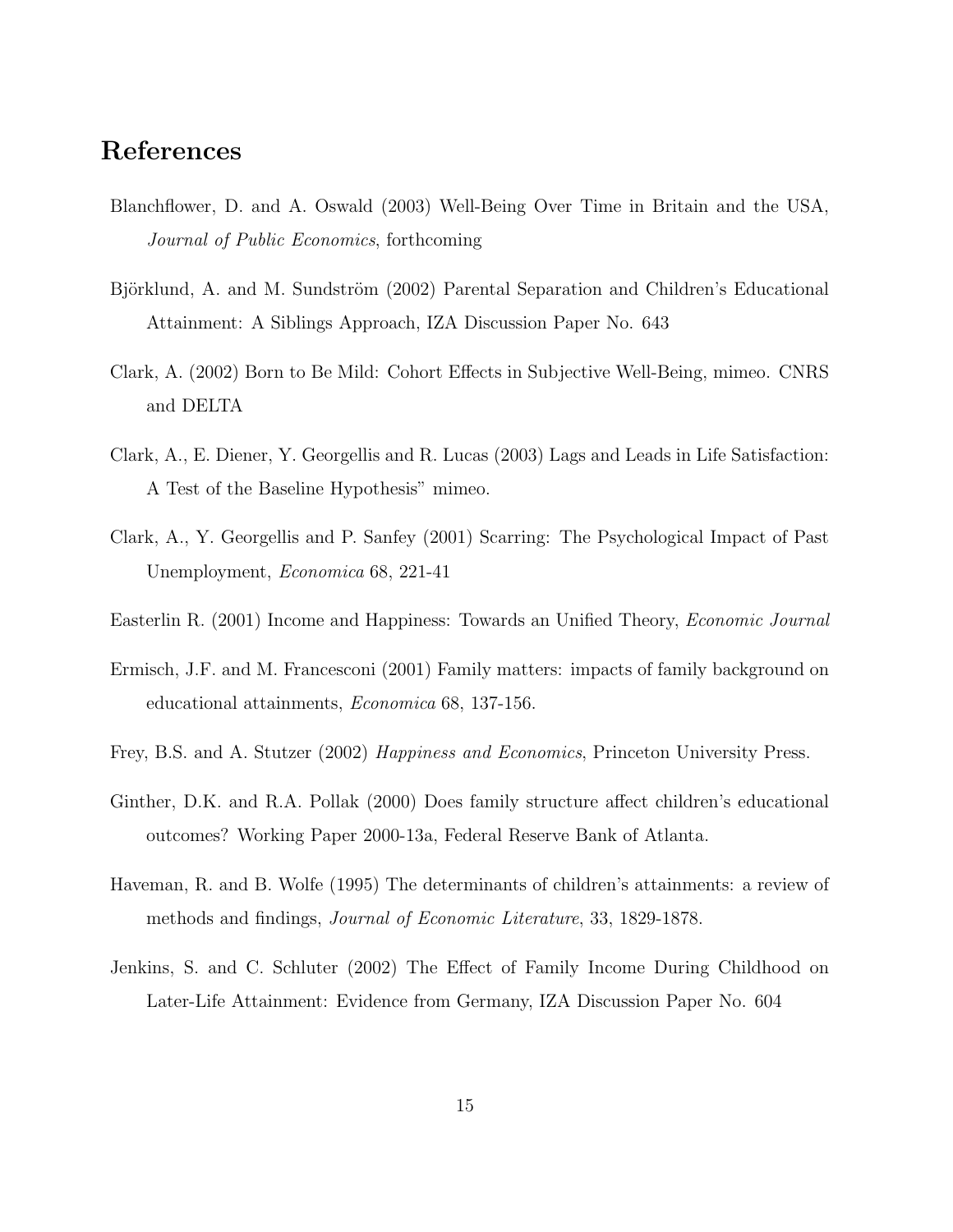## References

- Blanchflower, D. and A. Oswald (2003) Well-Being Over Time in Britain and the USA, Journal of Public Economics, forthcoming
- Björklund, A. and M. Sundström (2002) Parental Separation and Children's Educational Attainment: A Siblings Approach, IZA Discussion Paper No. 643
- Clark, A. (2002) Born to Be Mild: Cohort Effects in Subjective Well-Being, mimeo. CNRS and DELTA
- Clark, A., E. Diener, Y. Georgellis and R. Lucas (2003) Lags and Leads in Life Satisfaction: A Test of the Baseline Hypothesis" mimeo.
- Clark, A., Y. Georgellis and P. Sanfey (2001) Scarring: The Psychological Impact of Past Unemployment, Economica 68, 221-41
- Easterlin R. (2001) Income and Happiness: Towards an Unified Theory, Economic Journal
- Ermisch, J.F. and M. Francesconi (2001) Family matters: impacts of family background on educational attainments, Economica 68, 137-156.
- Frey, B.S. and A. Stutzer (2002) Happiness and Economics, Princeton University Press.
- Ginther, D.K. and R.A. Pollak (2000) Does family structure affect children's educational outcomes? Working Paper 2000-13a, Federal Reserve Bank of Atlanta.
- Haveman, R. and B. Wolfe (1995) The determinants of children's attainments: a review of methods and findings, Journal of Economic Literature, 33, 1829-1878.
- Jenkins, S. and C. Schluter (2002) The Effect of Family Income During Childhood on Later-Life Attainment: Evidence from Germany, IZA Discussion Paper No. 604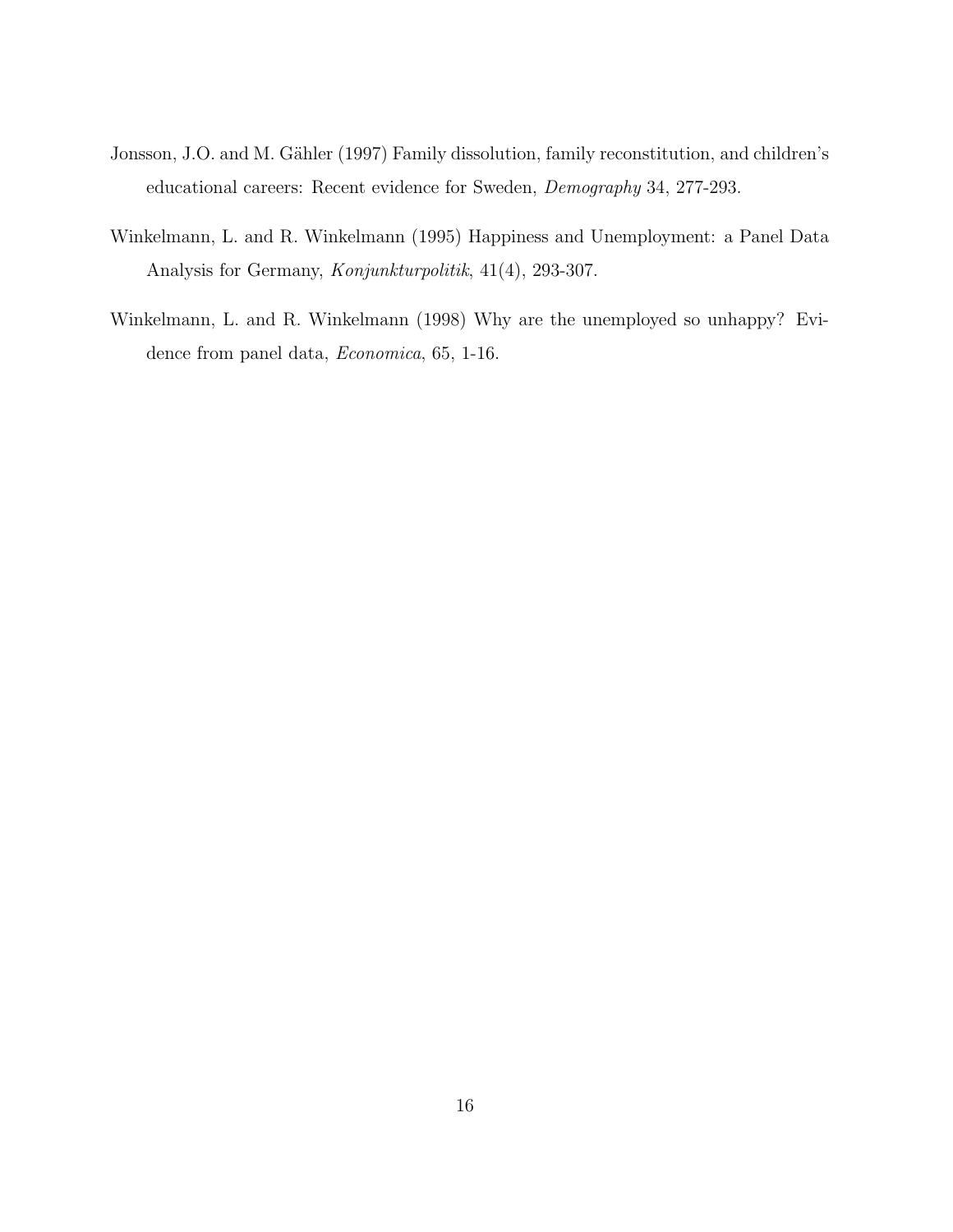- Jonsson, J.O. and M. Gähler (1997) Family dissolution, family reconstitution, and children's educational careers: Recent evidence for Sweden, Demography 34, 277-293.
- Winkelmann, L. and R. Winkelmann (1995) Happiness and Unemployment: a Panel Data Analysis for Germany, Konjunkturpolitik, 41(4), 293-307.
- Winkelmann, L. and R. Winkelmann (1998) Why are the unemployed so unhappy? Evidence from panel data, Economica, 65, 1-16.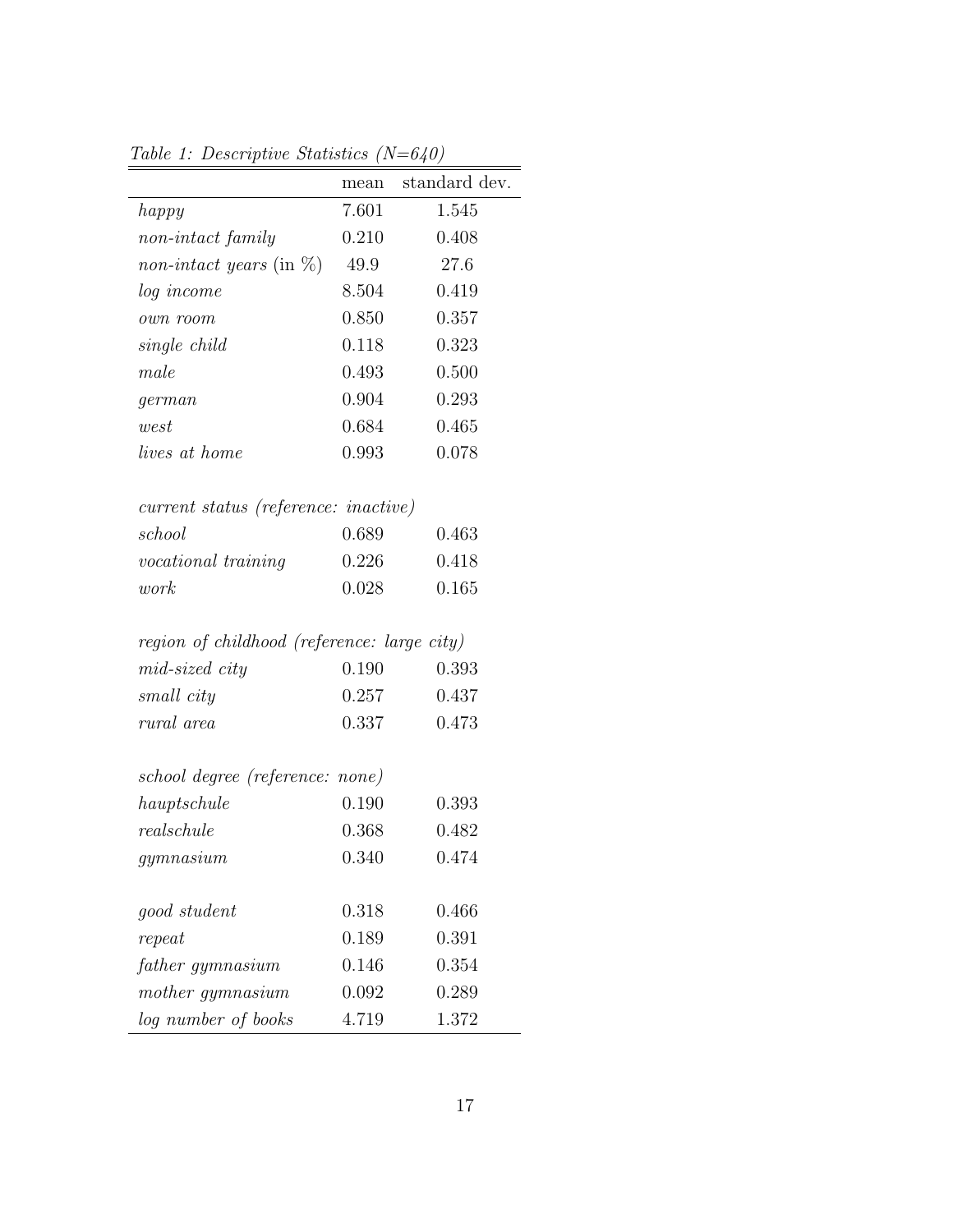| $1.50000$ if the contraction $(1.5000)$     |       | mean standard dev. |  |  |
|---------------------------------------------|-------|--------------------|--|--|
| happy                                       | 7.601 | 1.545              |  |  |
| non-intact family                           | 0.210 | 0.408              |  |  |
| <i>non-intact years</i> (in $\%$ )          | 49.9  | 27.6               |  |  |
| log income                                  | 8.504 | 0.419              |  |  |
| own room                                    | 0.850 | 0.357              |  |  |
| single child                                | 0.118 | 0.323              |  |  |
| male                                        | 0.493 | 0.500              |  |  |
| german                                      | 0.904 | 0.293              |  |  |
| west                                        | 0.684 | 0.465              |  |  |
| lives at home                               | 0.993 | 0.078              |  |  |
|                                             |       |                    |  |  |
| $current\ status\ (reference:\ inactive)$   |       |                    |  |  |
| school                                      | 0.689 | 0.463              |  |  |
| vocational training                         | 0.226 | 0.418              |  |  |
| work                                        | 0.028 | 0.165              |  |  |
|                                             |       |                    |  |  |
| region of childhood (reference: large city) |       |                    |  |  |
| mid-sized city                              | 0.190 | 0.393              |  |  |
| small city                                  | 0.257 | 0.437              |  |  |
| rural area                                  | 0.337 | 0.473              |  |  |
|                                             |       |                    |  |  |
| school degree (reference: none)             |       |                    |  |  |
| hauptschule                                 | 0.190 | 0.393              |  |  |
| realschule                                  | 0.368 | 0.482              |  |  |
| gymnasium                                   | 0.340 | 0.474              |  |  |
|                                             |       |                    |  |  |
| qood student                                | 0.318 | 0.466              |  |  |
| repeat                                      | 0.189 | 0.391              |  |  |
| father gymnasium                            | 0.146 | 0.354              |  |  |
| mother gymnasium                            | 0.092 | 0.289              |  |  |
| log number of books                         | 4.719 | 1.372              |  |  |
|                                             |       |                    |  |  |

Table 1: Descriptive Statistics (N=640)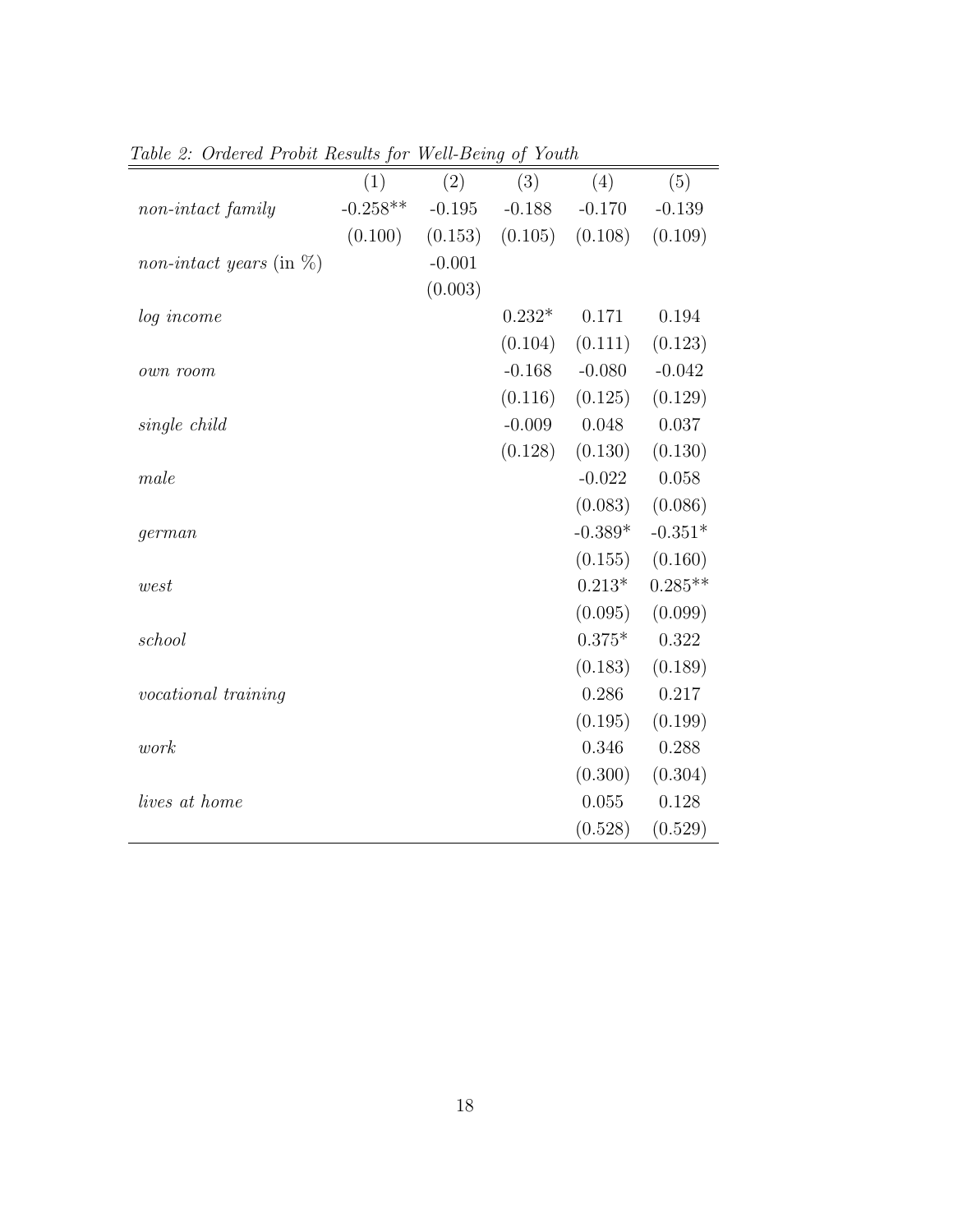| (2)<br>(3)<br>(1)<br>(4)<br>$-0.258**$<br>$-0.195$<br>$-0.188$<br>$-0.170$<br>non-intact family<br>(0.100)<br>(0.108)<br>(0.153)<br>(0.105)<br>$-0.001$<br><i>non-intact years</i> (in $\%$ )<br>(0.003)<br>$0.232*$<br>0.171<br>log income<br>(0.104)<br>(0.111)<br>$-0.168$<br>$-0.080$<br>own room<br>(0.116)<br>(0.125)<br>$-0.009$<br>0.048<br>single child<br>(0.128)<br>(0.130) | (5)<br>$-0.139$<br>(0.109)<br>0.194<br>(0.123)<br>$-0.042$<br>(0.129) |
|----------------------------------------------------------------------------------------------------------------------------------------------------------------------------------------------------------------------------------------------------------------------------------------------------------------------------------------------------------------------------------------|-----------------------------------------------------------------------|
|                                                                                                                                                                                                                                                                                                                                                                                        |                                                                       |
|                                                                                                                                                                                                                                                                                                                                                                                        |                                                                       |
|                                                                                                                                                                                                                                                                                                                                                                                        |                                                                       |
|                                                                                                                                                                                                                                                                                                                                                                                        |                                                                       |
|                                                                                                                                                                                                                                                                                                                                                                                        |                                                                       |
|                                                                                                                                                                                                                                                                                                                                                                                        |                                                                       |
|                                                                                                                                                                                                                                                                                                                                                                                        |                                                                       |
|                                                                                                                                                                                                                                                                                                                                                                                        |                                                                       |
|                                                                                                                                                                                                                                                                                                                                                                                        |                                                                       |
|                                                                                                                                                                                                                                                                                                                                                                                        | 0.037                                                                 |
|                                                                                                                                                                                                                                                                                                                                                                                        | (0.130)                                                               |
| $-0.022$<br>male                                                                                                                                                                                                                                                                                                                                                                       | 0.058                                                                 |
| (0.083)                                                                                                                                                                                                                                                                                                                                                                                | (0.086)                                                               |
| $-0.389*$<br>german                                                                                                                                                                                                                                                                                                                                                                    | $-0.351*$                                                             |
| (0.155)                                                                                                                                                                                                                                                                                                                                                                                | (0.160)                                                               |
| $0.213*$<br>west                                                                                                                                                                                                                                                                                                                                                                       | $0.285**$                                                             |
| (0.095)                                                                                                                                                                                                                                                                                                                                                                                | (0.099)                                                               |
| $0.375*$<br>school                                                                                                                                                                                                                                                                                                                                                                     | 0.322                                                                 |
| (0.183)                                                                                                                                                                                                                                                                                                                                                                                | (0.189)                                                               |
| 0.286<br>vocational training                                                                                                                                                                                                                                                                                                                                                           | 0.217                                                                 |
| (0.195)                                                                                                                                                                                                                                                                                                                                                                                | (0.199)                                                               |
| 0.346<br>work                                                                                                                                                                                                                                                                                                                                                                          | 0.288                                                                 |
| (0.300)                                                                                                                                                                                                                                                                                                                                                                                | (0.304)                                                               |
| 0.055<br>lives at home                                                                                                                                                                                                                                                                                                                                                                 | 0.128                                                                 |
| (0.528)                                                                                                                                                                                                                                                                                                                                                                                | (0.529)                                                               |

Table 2: Ordered Probit Results for Well-Being of Youth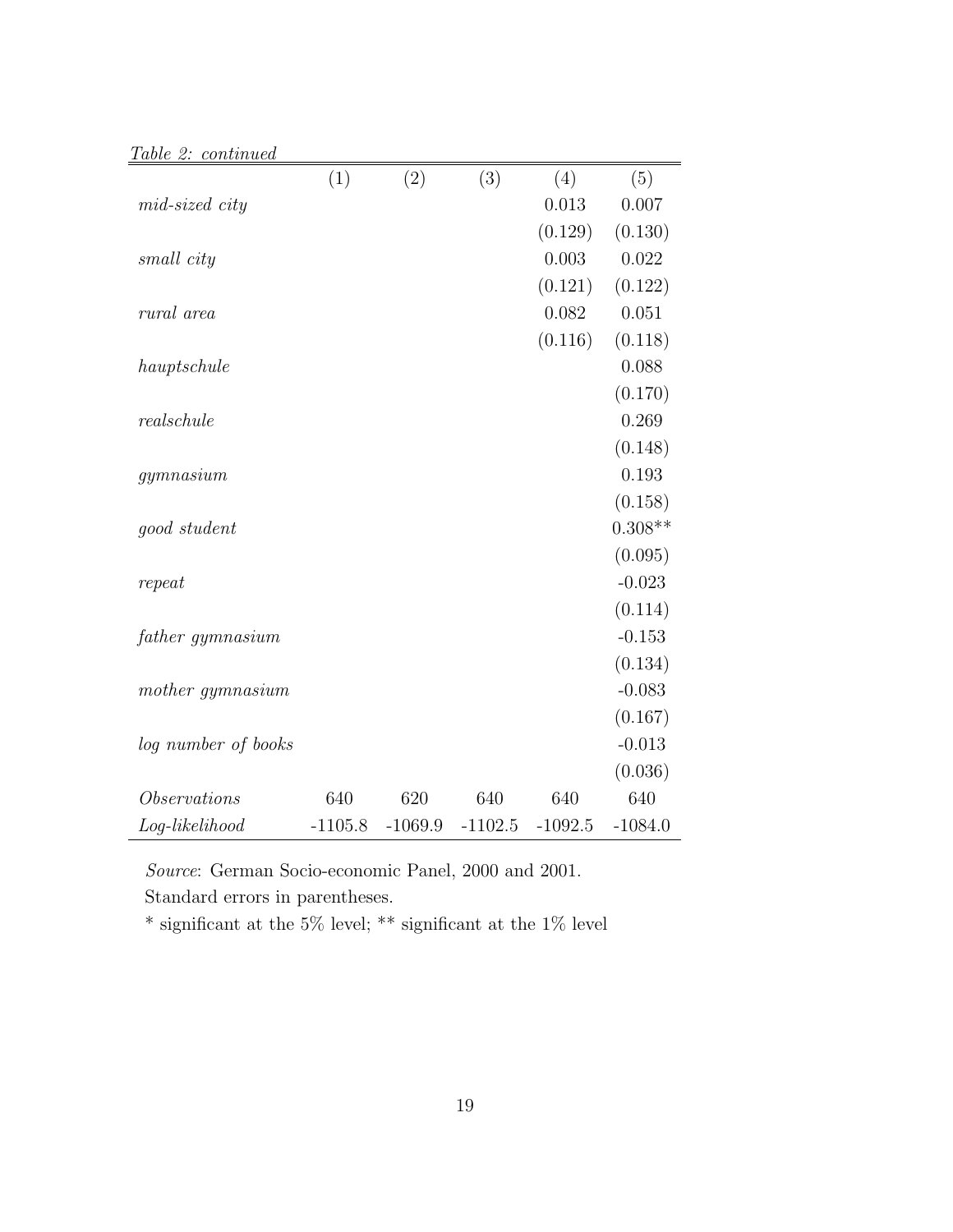Table 2: continued

|                         | (1)       | (2)       | (3)       | (4)       | (5)       |
|-------------------------|-----------|-----------|-----------|-----------|-----------|
| mid-sized city          |           |           |           | 0.013     | 0.007     |
|                         |           |           |           | (0.129)   | (0.130)   |
| small city              |           |           |           | 0.003     | 0.022     |
|                         |           |           |           | (0.121)   | (0.122)   |
| rural area              |           |           |           | 0.082     | 0.051     |
|                         |           |           |           | (0.116)   | (0.118)   |
| hauptschule             |           |           |           |           | 0.088     |
|                         |           |           |           |           | (0.170)   |
| realschule              |           |           |           |           | 0.269     |
|                         |           |           |           |           | (0.148)   |
| gymnasium               |           |           |           |           | 0.193     |
|                         |           |           |           |           | (0.158)   |
| good student            |           |           |           |           | $0.308**$ |
|                         |           |           |           |           | (0.095)   |
| repeat                  |           |           |           |           | $-0.023$  |
|                         |           |           |           |           | (0.114)   |
| father gymnasium        |           |           |           |           | $-0.153$  |
|                         |           |           |           |           | (0.134)   |
| mother gymnasium        |           |           |           |           | $-0.083$  |
|                         |           |           |           |           | (0.167)   |
| log number of books     |           |           |           |           | $-0.013$  |
|                         |           |           |           |           | (0.036)   |
| <i>Observations</i>     | 640       | 620       | 640       | 640       | 640       |
| $Log\text{-}likelihood$ | $-1105.8$ | $-1069.9$ | $-1102.5$ | $-1092.5$ | $-1084.0$ |

Source: German Socio-economic Panel, 2000 and 2001.

Standard errors in parentheses.

 $^{\ast}$  significant at the 5% level;  $^{\ast\ast}$  significant at the 1% level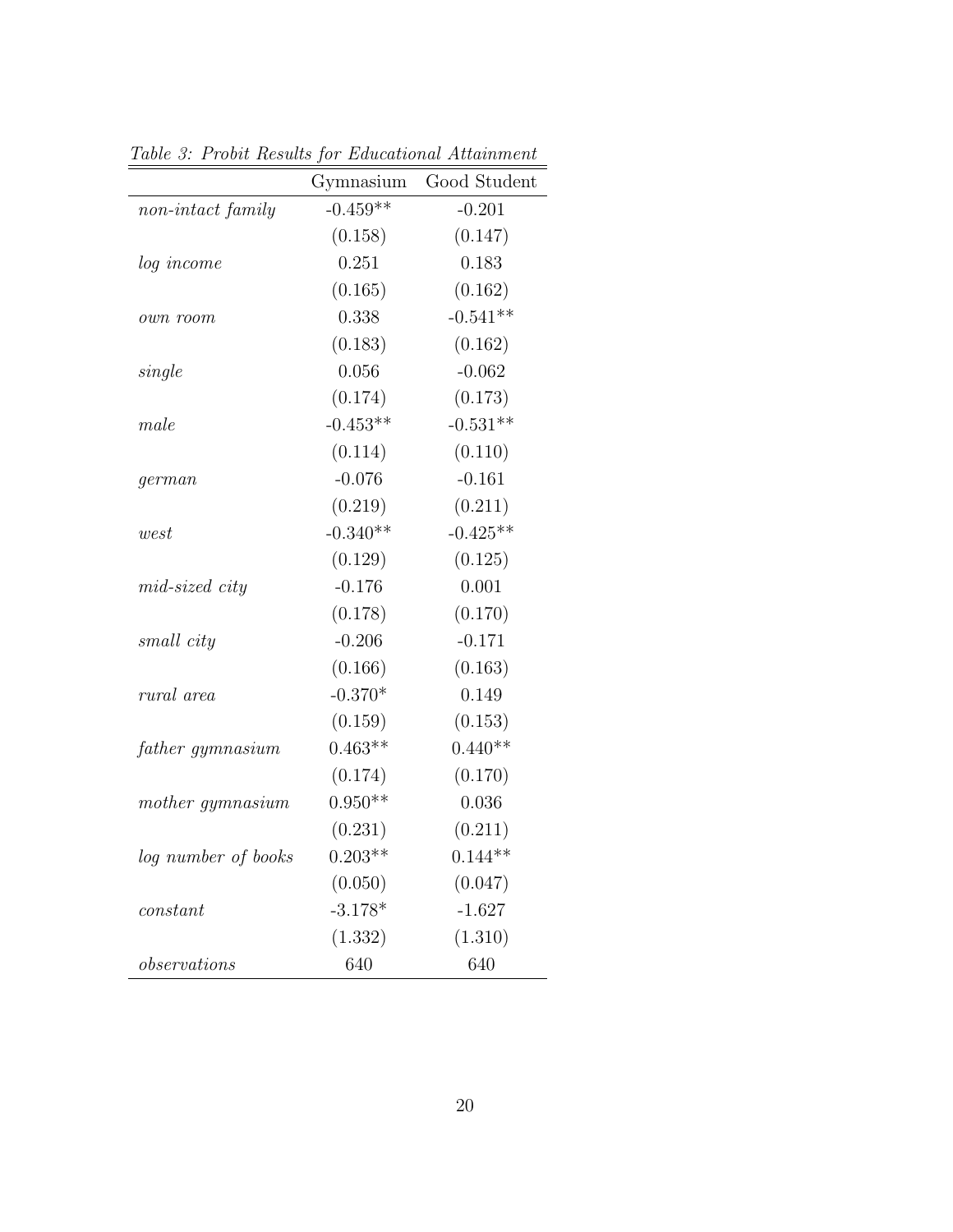|                     | Gymnasium  | Good Student |
|---------------------|------------|--------------|
| non-intact family   | $-0.459**$ | $-0.201$     |
|                     | (0.158)    | (0.147)      |
| log income          | 0.251      | 0.183        |
|                     | (0.165)    | (0.162)      |
| own room            | 0.338      | $-0.541**$   |
|                     | (0.183)    | (0.162)      |
| single              | 0.056      | $-0.062$     |
|                     | (0.174)    | (0.173)      |
| male                | $-0.453**$ | $-0.531**$   |
|                     | (0.114)    | (0.110)      |
| german              | $-0.076$   | $-0.161$     |
|                     | (0.219)    | (0.211)      |
| west                | $-0.340**$ | $-0.425**$   |
|                     | (0.129)    | (0.125)      |
| mid-sized city      | $-0.176$   | 0.001        |
|                     | (0.178)    | (0.170)      |
| small city          | $-0.206$   | $-0.171$     |
|                     | (0.166)    | (0.163)      |
| rural area          | $-0.370*$  | 0.149        |
|                     | (0.159)    | (0.153)      |
| father gymnasium    | $0.463**$  | $0.440**$    |
|                     | (0.174)    | (0.170)      |
| mother gymnasium    | $0.950**$  | 0.036        |
|                     | (0.231)    | (0.211)      |
| log number of books | $0.203**$  | $0.144**$    |
|                     | (0.050)    | (0.047)      |
| constant            | $-3.178*$  | $-1.627$     |
|                     | (1.332)    | (1.310)      |
| $\it observations$  | 640        | 640          |

Table 3: Probit Results for Educational Attainment